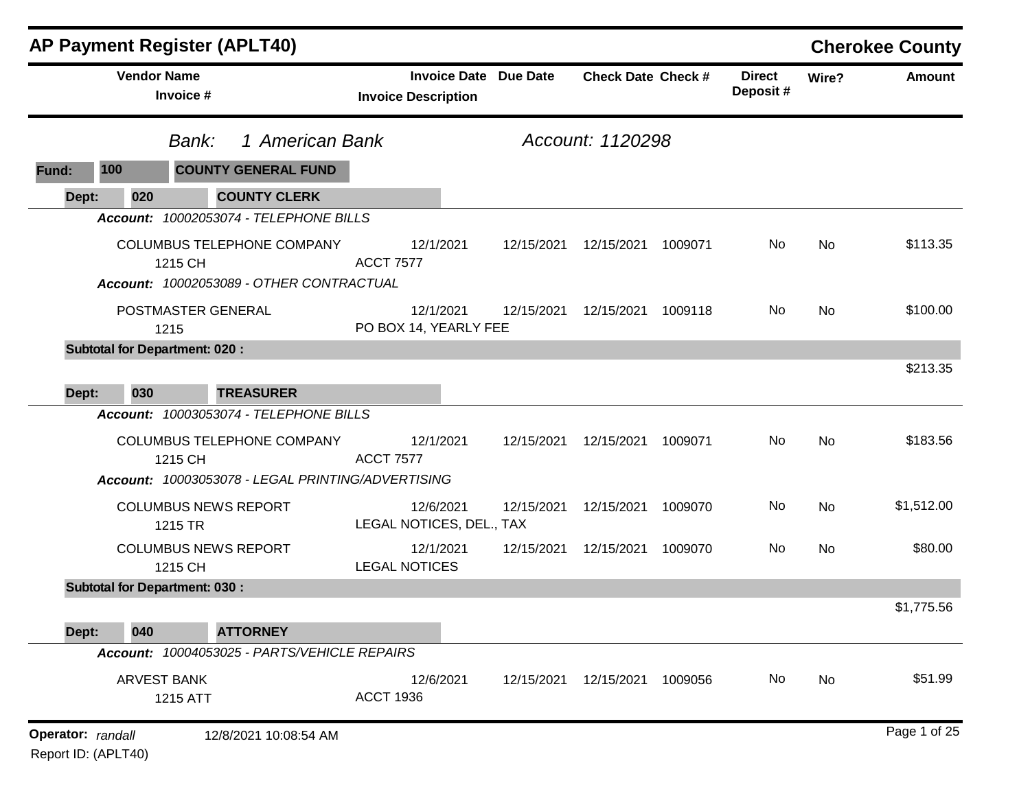|                   |                                 | <b>AP Payment Register (APLT40)</b>                                                      |                  |                                                            |            |                           |         |                           |           | <b>Cherokee County</b> |
|-------------------|---------------------------------|------------------------------------------------------------------------------------------|------------------|------------------------------------------------------------|------------|---------------------------|---------|---------------------------|-----------|------------------------|
|                   | <b>Vendor Name</b><br>Invoice # |                                                                                          |                  | <b>Invoice Date Due Date</b><br><b>Invoice Description</b> |            | <b>Check Date Check #</b> |         | <b>Direct</b><br>Deposit# | Wire?     | <b>Amount</b>          |
|                   |                                 | Bank:                                                                                    | 1 American Bank  |                                                            |            | Account: 1120298          |         |                           |           |                        |
| Fund:             | 100                             | <b>COUNTY GENERAL FUND</b>                                                               |                  |                                                            |            |                           |         |                           |           |                        |
| Dept:             | 020                             | <b>COUNTY CLERK</b>                                                                      |                  |                                                            |            |                           |         |                           |           |                        |
|                   |                                 | Account: 10002053074 - TELEPHONE BILLS                                                   |                  |                                                            |            |                           |         |                           |           |                        |
|                   |                                 | <b>COLUMBUS TELEPHONE COMPANY</b><br>1215 CH<br>Account: 10002053089 - OTHER CONTRACTUAL | <b>ACCT 7577</b> | 12/1/2021                                                  | 12/15/2021 | 12/15/2021                | 1009071 | No                        | <b>No</b> | \$113.35               |
|                   |                                 | POSTMASTER GENERAL<br>1215                                                               |                  | 12/1/2021<br>PO BOX 14, YEARLY FEE                         | 12/15/2021 | 12/15/2021                | 1009118 | No                        | No        | \$100.00               |
|                   |                                 | <b>Subtotal for Department: 020:</b>                                                     |                  |                                                            |            |                           |         |                           |           |                        |
| Dept:             | 030                             | <b>TREASURER</b>                                                                         |                  |                                                            |            |                           |         |                           |           | \$213.35               |
|                   |                                 | Account: 10003053074 - TELEPHONE BILLS                                                   |                  |                                                            |            |                           |         |                           |           |                        |
|                   |                                 | <b>COLUMBUS TELEPHONE COMPANY</b><br>1215 CH                                             | <b>ACCT 7577</b> | 12/1/2021                                                  | 12/15/2021 | 12/15/2021                | 1009071 | No                        | No        | \$183.56               |
|                   |                                 | Account: 10003053078 - LEGAL PRINTING/ADVERTISING                                        |                  |                                                            |            |                           |         |                           |           |                        |
|                   |                                 | <b>COLUMBUS NEWS REPORT</b><br>1215 TR                                                   |                  | 12/6/2021<br>LEGAL NOTICES, DEL., TAX                      | 12/15/2021 | 12/15/2021                | 1009070 | No                        | No        | \$1,512.00             |
|                   |                                 | <b>COLUMBUS NEWS REPORT</b><br>1215 CH                                                   |                  | 12/1/2021<br><b>LEGAL NOTICES</b>                          | 12/15/2021 | 12/15/2021                | 1009070 | No                        | No        | \$80.00                |
|                   |                                 | <b>Subtotal for Department: 030:</b>                                                     |                  |                                                            |            |                           |         |                           |           |                        |
|                   |                                 |                                                                                          |                  |                                                            |            |                           |         |                           |           | \$1,775.56             |
| Dept:             | 040                             | <b>ATTORNEY</b><br>Account: 10004053025 - PARTS/VEHICLE REPAIRS                          |                  |                                                            |            |                           |         |                           |           |                        |
|                   |                                 |                                                                                          |                  |                                                            |            |                           |         |                           |           |                        |
|                   |                                 | ARVEST BANK<br>1215 ATT                                                                  | <b>ACCT 1936</b> | 12/6/2021                                                  | 12/15/2021 | 12/15/2021                | 1009056 | No                        | No        | \$51.99                |
| Operator: randall |                                 | 12/8/2021 10:08:54 AM                                                                    |                  |                                                            |            |                           |         |                           |           | Page 1 of 25           |

Report ID: (APLT40)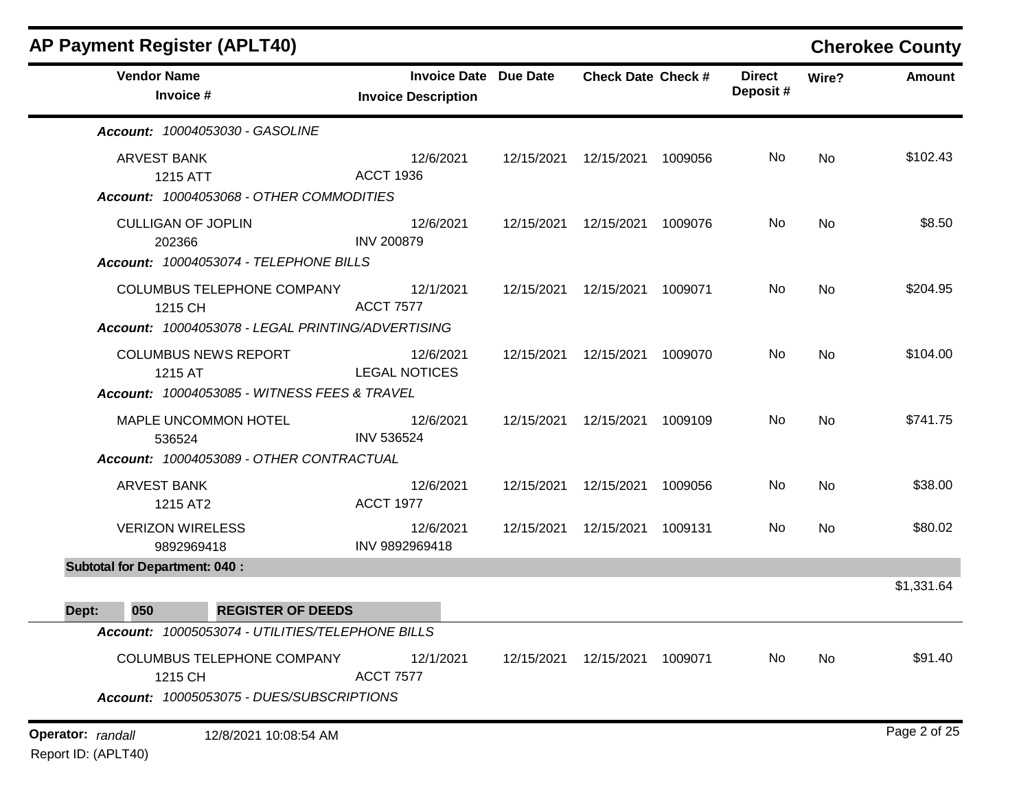| <b>AP Payment Register (APLT40)</b>                                                        |                                                            |            |                           |         |                           |           | <b>Cherokee County</b> |
|--------------------------------------------------------------------------------------------|------------------------------------------------------------|------------|---------------------------|---------|---------------------------|-----------|------------------------|
| <b>Vendor Name</b><br>Invoice #                                                            | <b>Invoice Date Due Date</b><br><b>Invoice Description</b> |            | <b>Check Date Check #</b> |         | <b>Direct</b><br>Deposit# | Wire?     | <b>Amount</b>          |
| Account: 10004053030 - GASOLINE                                                            |                                                            |            |                           |         |                           |           |                        |
| ARVEST BANK<br>1215 ATT<br>Account: 10004053068 - OTHER COMMODITIES                        | 12/6/2021<br><b>ACCT 1936</b>                              | 12/15/2021 | 12/15/2021                | 1009056 | No                        | <b>No</b> | \$102.43               |
| <b>CULLIGAN OF JOPLIN</b><br>202366<br>Account: 10004053074 - TELEPHONE BILLS              | 12/6/2021<br><b>INV 200879</b>                             | 12/15/2021 | 12/15/2021                | 1009076 | No                        | <b>No</b> | \$8.50                 |
| COLUMBUS TELEPHONE COMPANY<br>1215 CH<br>Account: 10004053078 - LEGAL PRINTING/ADVERTISING | 12/1/2021<br><b>ACCT 7577</b>                              | 12/15/2021 | 12/15/2021                | 1009071 | No                        | <b>No</b> | \$204.95               |
| <b>COLUMBUS NEWS REPORT</b><br>1215 AT<br>Account: 10004053085 - WITNESS FEES & TRAVEL     | 12/6/2021<br><b>LEGAL NOTICES</b>                          | 12/15/2021 | 12/15/2021                | 1009070 | No                        | <b>No</b> | \$104.00               |
| MAPLE UNCOMMON HOTEL<br>536524<br>Account: 10004053089 - OTHER CONTRACTUAL                 | 12/6/2021<br><b>INV 536524</b>                             | 12/15/2021 | 12/15/2021                | 1009109 | No                        | <b>No</b> | \$741.75               |
| ARVEST BANK<br>1215 AT2                                                                    | 12/6/2021<br><b>ACCT 1977</b>                              | 12/15/2021 | 12/15/2021                | 1009056 | No                        | No        | \$38.00                |
| <b>VERIZON WIRELESS</b><br>9892969418                                                      | 12/6/2021<br>INV 9892969418                                | 12/15/2021 | 12/15/2021                | 1009131 | No                        | No        | \$80.02                |
| <b>Subtotal for Department: 040:</b>                                                       |                                                            |            |                           |         |                           |           | \$1,331.64             |
| 050<br><b>REGISTER OF DEEDS</b><br>Dept:                                                   |                                                            |            |                           |         |                           |           |                        |
| Account: 10005053074 - UTILITIES/TELEPHONE BILLS                                           |                                                            |            |                           |         |                           |           |                        |
| COLUMBUS TELEPHONE COMPANY<br>1215 CH<br>Account: 10005053075 - DUES/SUBSCRIPTIONS         | 12/1/2021<br><b>ACCT 7577</b>                              |            | 12/15/2021  12/15/2021    | 1009071 | No                        | No        | \$91.40                |
| <b>Operator:</b> randall<br>12/8/2021 10:08:54 AM                                          |                                                            |            |                           |         |                           |           | Page 2 of 25           |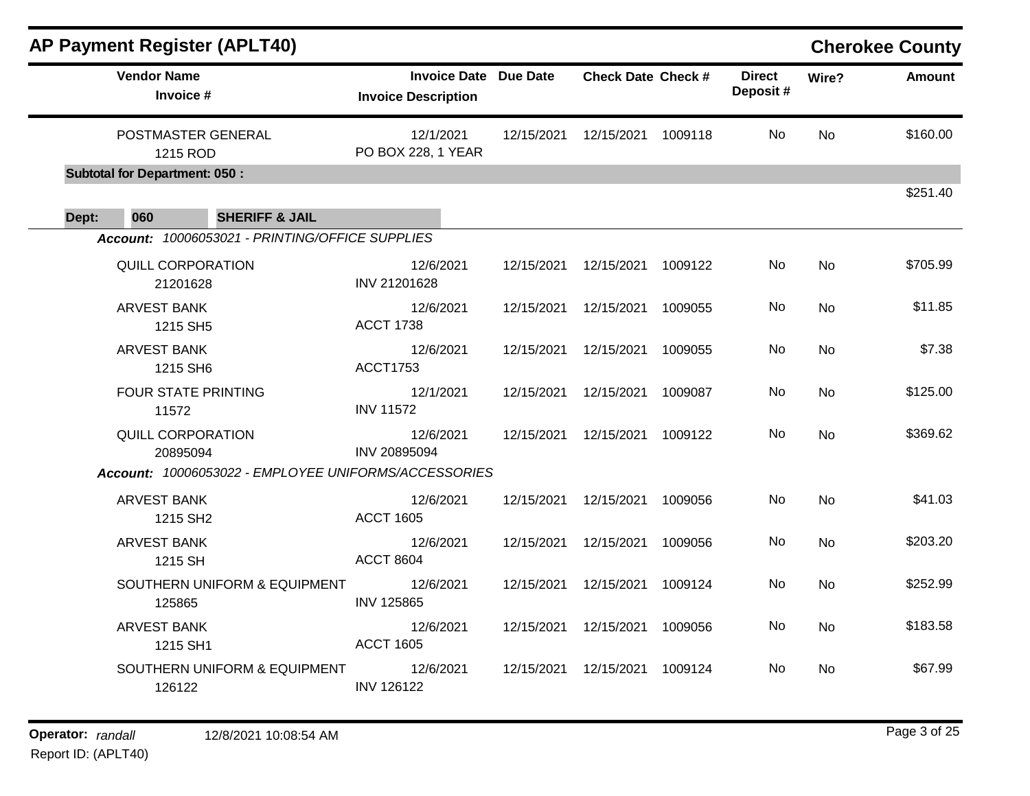|                                        |                                                                        | <b>AP Payment Register (APLT40)</b>                  |                                 |                              |                           |         |                           |           | <b>Cherokee County</b> |
|----------------------------------------|------------------------------------------------------------------------|------------------------------------------------------|---------------------------------|------------------------------|---------------------------|---------|---------------------------|-----------|------------------------|
|                                        | <b>Vendor Name</b><br>Invoice #                                        |                                                      | <b>Invoice Description</b>      | <b>Invoice Date Due Date</b> | <b>Check Date Check #</b> |         | <b>Direct</b><br>Deposit# | Wire?     | <b>Amount</b>          |
|                                        | POSTMASTER GENERAL<br>1215 ROD<br><b>Subtotal for Department: 050:</b> |                                                      | 12/1/2021<br>PO BOX 228, 1 YEAR | 12/15/2021                   | 12/15/2021                | 1009118 | No                        | <b>No</b> | \$160.00               |
|                                        |                                                                        |                                                      |                                 |                              |                           |         |                           |           | \$251.40               |
| Dept:                                  | 060                                                                    | <b>SHERIFF &amp; JAIL</b>                            |                                 |                              |                           |         |                           |           |                        |
|                                        |                                                                        | Account: 10006053021 - PRINTING/OFFICE SUPPLIES      |                                 |                              |                           |         |                           |           |                        |
|                                        | <b>QUILL CORPORATION</b><br>21201628                                   |                                                      | 12/6/2021<br>INV 21201628       | 12/15/2021                   | 12/15/2021                | 1009122 | No.                       | <b>No</b> | \$705.99               |
| <b>ARVEST BANK</b><br>1215 SH5         |                                                                        | 12/6/2021<br><b>ACCT 1738</b>                        | 12/15/2021                      | 12/15/2021                   | 1009055                   | No      | <b>No</b>                 | \$11.85   |                        |
| <b>ARVEST BANK</b><br>1215 SH6         |                                                                        | 12/6/2021<br><b>ACCT1753</b>                         | 12/15/2021                      | 12/15/2021                   | 1009055                   | No      | <b>No</b>                 | \$7.38    |                        |
|                                        | FOUR STATE PRINTING<br>11572                                           |                                                      | 12/1/2021<br><b>INV 11572</b>   | 12/15/2021                   | 12/15/2021                | 1009087 | No                        | No        | \$125.00               |
| QUILL CORPORATION<br>20895094          |                                                                        | 12/6/2021<br>INV 20895094                            | 12/15/2021                      | 12/15/2021                   | 1009122                   | No      | <b>No</b>                 | \$369.62  |                        |
|                                        |                                                                        | Account: 10006053022 - EMPLOYEE UNIFORMS/ACCESSORIES |                                 |                              |                           |         |                           |           |                        |
|                                        | <b>ARVEST BANK</b><br>1215 SH <sub>2</sub>                             |                                                      | 12/6/2021<br><b>ACCT 1605</b>   | 12/15/2021                   | 12/15/2021                | 1009056 | No                        | <b>No</b> | \$41.03                |
| <b>ARVEST BANK</b><br>1215 SH          |                                                                        | 12/6/2021<br><b>ACCT 8604</b>                        | 12/15/2021                      | 12/15/2021                   | 1009056                   | No      | <b>No</b>                 | \$203.20  |                        |
| SOUTHERN UNIFORM & EQUIPMENT<br>125865 |                                                                        | 12/6/2021<br><b>INV 125865</b>                       | 12/15/2021                      | 12/15/2021                   | 1009124                   | No      | No                        | \$252.99  |                        |
|                                        | <b>ARVEST BANK</b><br>1215 SH1                                         |                                                      | 12/6/2021<br><b>ACCT 1605</b>   | 12/15/2021                   | 12/15/2021                | 1009056 | No                        | <b>No</b> | \$183.58               |
|                                        | 126122                                                                 | SOUTHERN UNIFORM & EQUIPMENT                         | 12/6/2021<br><b>INV 126122</b>  | 12/15/2021                   | 12/15/2021                | 1009124 | No.                       | No.       | \$67.99                |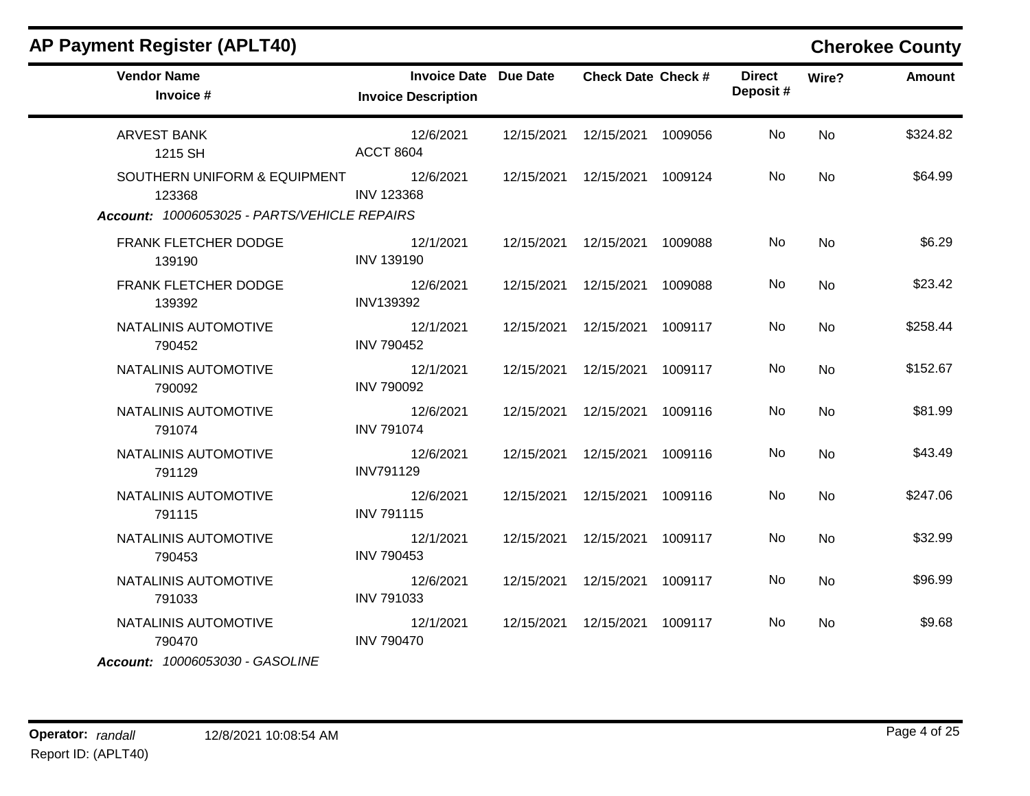| <b>Vendor Name</b><br>Invoice #                                                        | <b>Invoice Date Due Date</b><br><b>Invoice Description</b> | <b>Check Date Check #</b>       |         | <b>Direct</b><br>Deposit# | Wire?     | <b>Amount</b> |
|----------------------------------------------------------------------------------------|------------------------------------------------------------|---------------------------------|---------|---------------------------|-----------|---------------|
| <b>ARVEST BANK</b><br>1215 SH                                                          | 12/6/2021<br><b>ACCT 8604</b>                              | 12/15/2021  12/15/2021          | 1009056 | No                        | <b>No</b> | \$324.82      |
| SOUTHERN UNIFORM & EQUIPMENT<br>123368<br>Account: 10006053025 - PARTS/VEHICLE REPAIRS | 12/6/2021<br><b>INV 123368</b>                             | 12/15/2021  12/15/2021  1009124 |         | No                        | <b>No</b> | \$64.99       |
| FRANK FLETCHER DODGE<br>139190                                                         | 12/1/2021<br><b>INV 139190</b>                             | 12/15/2021  12/15/2021  1009088 |         | No                        | <b>No</b> | \$6.29        |
| FRANK FLETCHER DODGE<br>139392                                                         | 12/6/2021<br><b>INV139392</b>                              | 12/15/2021  12/15/2021  1009088 |         | No                        | <b>No</b> | \$23.42       |
| NATALINIS AUTOMOTIVE<br>790452                                                         | 12/1/2021<br><b>INV 790452</b>                             | 12/15/2021  12/15/2021          | 1009117 | No                        | No        | \$258.44      |
| NATALINIS AUTOMOTIVE<br>790092                                                         | 12/1/2021<br><b>INV 790092</b>                             | 12/15/2021  12/15/2021          | 1009117 | No                        | <b>No</b> | \$152.67      |
| NATALINIS AUTOMOTIVE<br>791074                                                         | 12/6/2021<br><b>INV 791074</b>                             | 12/15/2021  12/15/2021          | 1009116 | No                        | <b>No</b> | \$81.99       |
| NATALINIS AUTOMOTIVE<br>791129                                                         | 12/6/2021<br><b>INV791129</b>                              | 12/15/2021  12/15/2021          | 1009116 | No                        | <b>No</b> | \$43.49       |
| NATALINIS AUTOMOTIVE<br>791115                                                         | 12/6/2021<br><b>INV 791115</b>                             | 12/15/2021  12/15/2021          | 1009116 | No                        | No        | \$247.06      |
| NATALINIS AUTOMOTIVE<br>790453                                                         | 12/1/2021<br><b>INV 790453</b>                             | 12/15/2021  12/15/2021  1009117 |         | No                        | <b>No</b> | \$32.99       |
| NATALINIS AUTOMOTIVE<br>791033                                                         | 12/6/2021<br><b>INV 791033</b>                             | 12/15/2021  12/15/2021  1009117 |         | No.                       | No        | \$96.99       |
| NATALINIS AUTOMOTIVE<br>790470<br>Account: 10006053030 - GASOLINE                      | 12/1/2021<br><b>INV 790470</b>                             | 12/15/2021  12/15/2021  1009117 |         | No                        | No        | \$9.68        |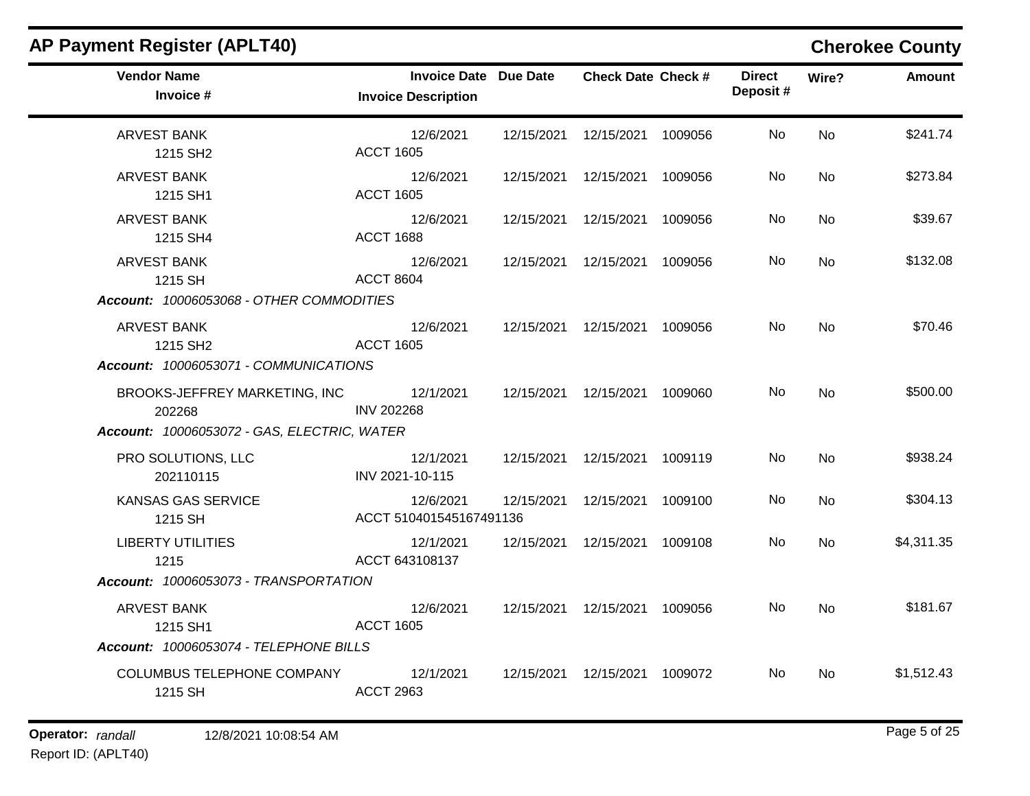| <b>AP Payment Register (APLT40)</b>                                                                                      |                                                            |            |                           |         |                           |           | <b>Cherokee County</b> |
|--------------------------------------------------------------------------------------------------------------------------|------------------------------------------------------------|------------|---------------------------|---------|---------------------------|-----------|------------------------|
| <b>Vendor Name</b><br>Invoice #                                                                                          | <b>Invoice Date Due Date</b><br><b>Invoice Description</b> |            | <b>Check Date Check #</b> |         | <b>Direct</b><br>Deposit# | Wire?     | <b>Amount</b>          |
| <b>ARVEST BANK</b><br>1215 SH <sub>2</sub>                                                                               | 12/6/2021<br><b>ACCT 1605</b>                              | 12/15/2021 | 12/15/2021                | 1009056 | No                        | <b>No</b> | \$241.74               |
| ARVEST BANK<br>1215 SH1                                                                                                  | 12/6/2021<br><b>ACCT 1605</b>                              |            | 12/15/2021  12/15/2021    | 1009056 | No.                       | No        | \$273.84               |
| <b>ARVEST BANK</b><br>1215 SH4                                                                                           | 12/6/2021<br><b>ACCT 1688</b>                              | 12/15/2021 | 12/15/2021                | 1009056 | No                        | <b>No</b> | \$39.67                |
| <b>ARVEST BANK</b><br>1215 SH                                                                                            | 12/6/2021<br><b>ACCT 8604</b>                              | 12/15/2021 | 12/15/2021                | 1009056 | No                        | <b>No</b> | \$132.08               |
| Account: 10006053068 - OTHER COMMODITIES<br>ARVEST BANK<br>1215 SH <sub>2</sub><br>Account: 10006053071 - COMMUNICATIONS | 12/6/2021<br><b>ACCT 1605</b>                              |            | 12/15/2021  12/15/2021    | 1009056 | No                        | <b>No</b> | \$70.46                |
| BROOKS-JEFFREY MARKETING, INC<br>202268<br>Account: 10006053072 - GAS, ELECTRIC, WATER                                   | 12/1/2021<br><b>INV 202268</b>                             |            | 12/15/2021  12/15/2021    | 1009060 | No                        | <b>No</b> | \$500.00               |
| PRO SOLUTIONS, LLC<br>202110115                                                                                          | 12/1/2021<br>INV 2021-10-115                               |            | 12/15/2021  12/15/2021    | 1009119 | No                        | <b>No</b> | \$938.24               |
| KANSAS GAS SERVICE<br>1215 SH                                                                                            | 12/6/2021<br>ACCT 510401545167491136                       | 12/15/2021 | 12/15/2021                | 1009100 | No                        | <b>No</b> | \$304.13               |
| <b>LIBERTY UTILITIES</b><br>1215                                                                                         | 12/1/2021<br>ACCT 643108137                                | 12/15/2021 | 12/15/2021                | 1009108 | No                        | <b>No</b> | \$4,311.35             |
| Account: 10006053073 - TRANSPORTATION                                                                                    |                                                            |            |                           |         |                           |           |                        |
| <b>ARVEST BANK</b><br>1215 SH1                                                                                           | 12/6/2021<br><b>ACCT 1605</b>                              |            | 12/15/2021  12/15/2021    | 1009056 | No                        | <b>No</b> | \$181.67               |
| Account: 10006053074 - TELEPHONE BILLS                                                                                   |                                                            |            |                           |         |                           |           |                        |
| COLUMBUS TELEPHONE COMPANY<br>1215 SH                                                                                    | 12/1/2021<br><b>ACCT 2963</b>                              |            | 12/15/2021  12/15/2021    | 1009072 | No                        | No        | \$1,512.43             |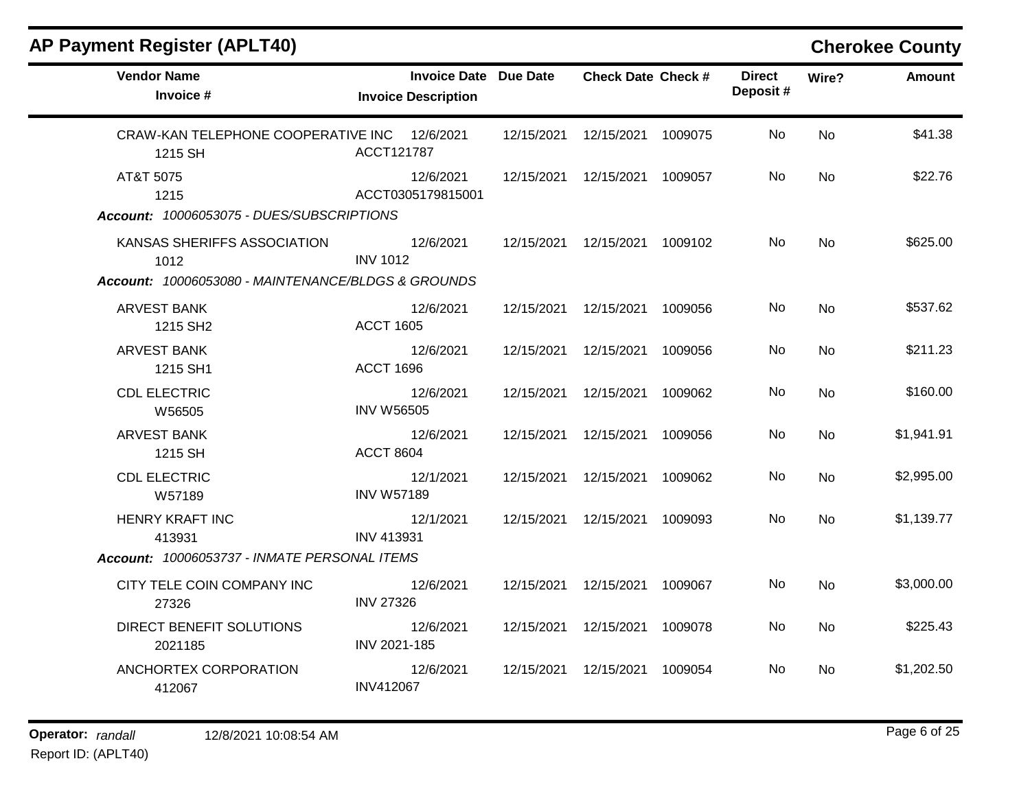| <b>Vendor Name</b><br>Invoice #                                                           | Invoice Date Due Date<br><b>Invoice Description</b> |            | <b>Check Date Check #</b> |         | <b>Direct</b><br>Deposit# | Wire?     | <b>Amount</b> |
|-------------------------------------------------------------------------------------------|-----------------------------------------------------|------------|---------------------------|---------|---------------------------|-----------|---------------|
| CRAW-KAN TELEPHONE COOPERATIVE INC 12/6/2021<br>1215 SH                                   | ACCT121787                                          | 12/15/2021 | 12/15/2021                | 1009075 | <b>No</b>                 | <b>No</b> | \$41.38       |
| AT&T 5075<br>1215<br>Account: 10006053075 - DUES/SUBSCRIPTIONS                            | 12/6/2021<br>ACCT0305179815001                      | 12/15/2021 | 12/15/2021                | 1009057 | <b>No</b>                 | <b>No</b> | \$22.76       |
| KANSAS SHERIFFS ASSOCIATION<br>1012<br>Account: 10006053080 - MAINTENANCE/BLDGS & GROUNDS | 12/6/2021<br><b>INV 1012</b>                        | 12/15/2021 | 12/15/2021                | 1009102 | <b>No</b>                 | <b>No</b> | \$625.00      |
| <b>ARVEST BANK</b><br>1215 SH <sub>2</sub>                                                | 12/6/2021<br><b>ACCT 1605</b>                       | 12/15/2021 | 12/15/2021                | 1009056 | No                        | <b>No</b> | \$537.62      |
| <b>ARVEST BANK</b><br>1215 SH1                                                            | 12/6/2021<br><b>ACCT 1696</b>                       | 12/15/2021 | 12/15/2021                | 1009056 | No                        | <b>No</b> | \$211.23      |
| <b>CDL ELECTRIC</b><br>W56505                                                             | 12/6/2021<br><b>INV W56505</b>                      | 12/15/2021 | 12/15/2021                | 1009062 | No                        | <b>No</b> | \$160.00      |
| <b>ARVEST BANK</b><br>1215 SH                                                             | 12/6/2021<br><b>ACCT 8604</b>                       | 12/15/2021 | 12/15/2021                | 1009056 | No                        | <b>No</b> | \$1,941.91    |
| <b>CDL ELECTRIC</b><br>W57189                                                             | 12/1/2021<br><b>INV W57189</b>                      | 12/15/2021 | 12/15/2021                | 1009062 | No                        | <b>No</b> | \$2,995.00    |
| <b>HENRY KRAFT INC</b><br>413931<br>Account: 10006053737 - INMATE PERSONAL ITEMS          | 12/1/2021<br><b>INV 413931</b>                      | 12/15/2021 | 12/15/2021                | 1009093 | No                        | <b>No</b> | \$1,139.77    |
| CITY TELE COIN COMPANY INC<br>27326                                                       | 12/6/2021<br><b>INV 27326</b>                       | 12/15/2021 | 12/15/2021                | 1009067 | No                        | <b>No</b> | \$3,000.00    |
| DIRECT BENEFIT SOLUTIONS<br>2021185                                                       | 12/6/2021<br>INV 2021-185                           | 12/15/2021 | 12/15/2021                | 1009078 | No                        | No        | \$225.43      |
| ANCHORTEX CORPORATION<br>412067                                                           | 12/6/2021<br><b>INV412067</b>                       | 12/15/2021 | 12/15/2021                | 1009054 | No                        | No        | \$1,202.50    |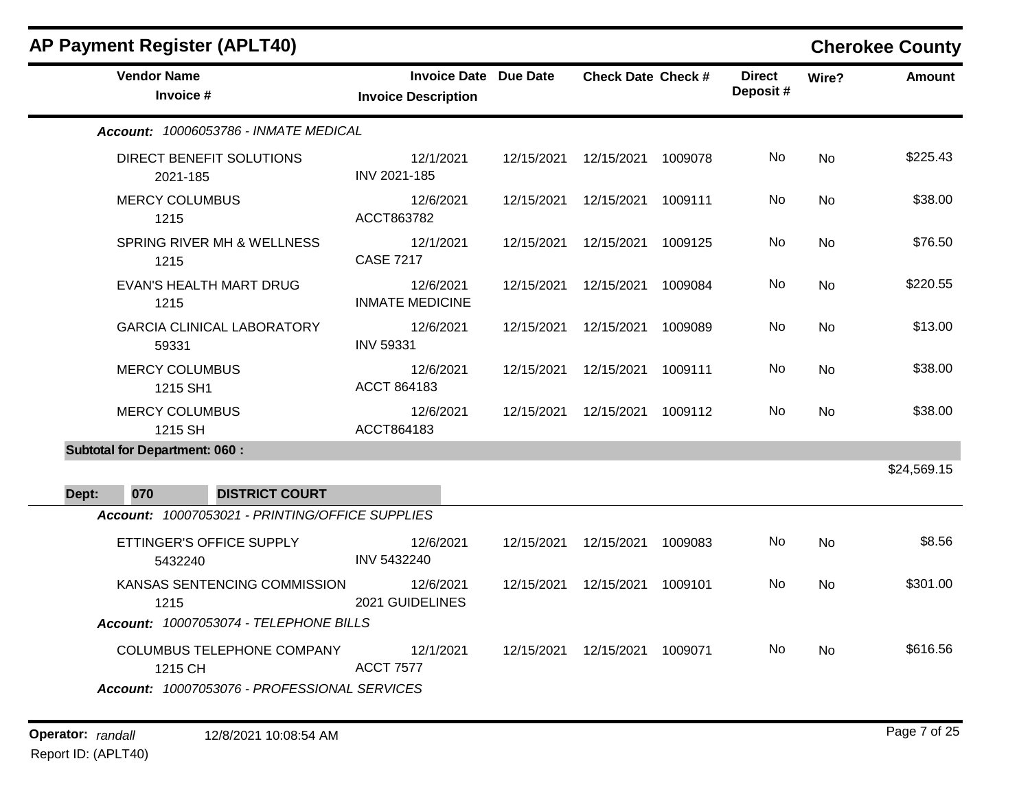| <b>AP Payment Register (APLT40)</b>                                            |                                                            |            |                                 |         |                           |           | <b>Cherokee County</b> |
|--------------------------------------------------------------------------------|------------------------------------------------------------|------------|---------------------------------|---------|---------------------------|-----------|------------------------|
| <b>Vendor Name</b><br>Invoice #                                                | <b>Invoice Date Due Date</b><br><b>Invoice Description</b> |            | <b>Check Date Check #</b>       |         | <b>Direct</b><br>Deposit# | Wire?     | <b>Amount</b>          |
| Account: 10006053786 - INMATE MEDICAL                                          |                                                            |            |                                 |         |                           |           |                        |
| DIRECT BENEFIT SOLUTIONS<br>2021-185                                           | 12/1/2021<br>INV 2021-185                                  |            | 12/15/2021  12/15/2021  1009078 |         | No.                       | <b>No</b> | \$225.43               |
| <b>MERCY COLUMBUS</b><br>1215                                                  | 12/6/2021<br>ACCT863782                                    |            | 12/15/2021  12/15/2021          | 1009111 | No                        | <b>No</b> | \$38.00                |
| SPRING RIVER MH & WELLNESS<br>1215                                             | 12/1/2021<br><b>CASE 7217</b>                              |            | 12/15/2021  12/15/2021          | 1009125 | No                        | No.       | \$76.50                |
| <b>EVAN'S HEALTH MART DRUG</b><br>1215                                         | 12/6/2021<br><b>INMATE MEDICINE</b>                        |            | 12/15/2021  12/15/2021          | 1009084 | No.                       | <b>No</b> | \$220.55               |
| <b>GARCIA CLINICAL LABORATORY</b><br>59331                                     | 12/6/2021<br><b>INV 59331</b>                              | 12/15/2021 | 12/15/2021                      | 1009089 | No.                       | <b>No</b> | \$13.00                |
| <b>MERCY COLUMBUS</b><br>1215 SH1                                              | 12/6/2021<br>ACCT 864183                                   |            | 12/15/2021  12/15/2021  1009111 |         | No.                       | No.       | \$38.00                |
| <b>MERCY COLUMBUS</b><br>1215 SH                                               | 12/6/2021<br>ACCT864183                                    |            | 12/15/2021  12/15/2021          | 1009112 | No                        | <b>No</b> | \$38.00                |
| <b>Subtotal for Department: 060:</b>                                           |                                                            |            |                                 |         |                           |           |                        |
| 070<br><b>DISTRICT COURT</b><br>Dept:                                          |                                                            |            |                                 |         |                           |           | \$24,569.15            |
| Account: 10007053021 - PRINTING/OFFICE SUPPLIES                                |                                                            |            |                                 |         |                           |           |                        |
| ETTINGER'S OFFICE SUPPLY<br>5432240                                            | 12/6/2021<br>INV 5432240                                   |            | 12/15/2021  12/15/2021          | 1009083 | No                        | No.       | \$8.56                 |
| KANSAS SENTENCING COMMISSION<br>1215<br>Account: 10007053074 - TELEPHONE BILLS | 12/6/2021<br>2021 GUIDELINES                               |            | 12/15/2021  12/15/2021          | 1009101 | No.                       | <b>No</b> | \$301.00               |
| <b>COLUMBUS TELEPHONE COMPANY</b><br>1215 CH                                   | 12/1/2021<br><b>ACCT 7577</b>                              |            | 12/15/2021  12/15/2021  1009071 |         | No.                       | No.       | \$616.56               |
| Account: 10007053076 - PROFESSIONAL SERVICES                                   |                                                            |            |                                 |         |                           |           |                        |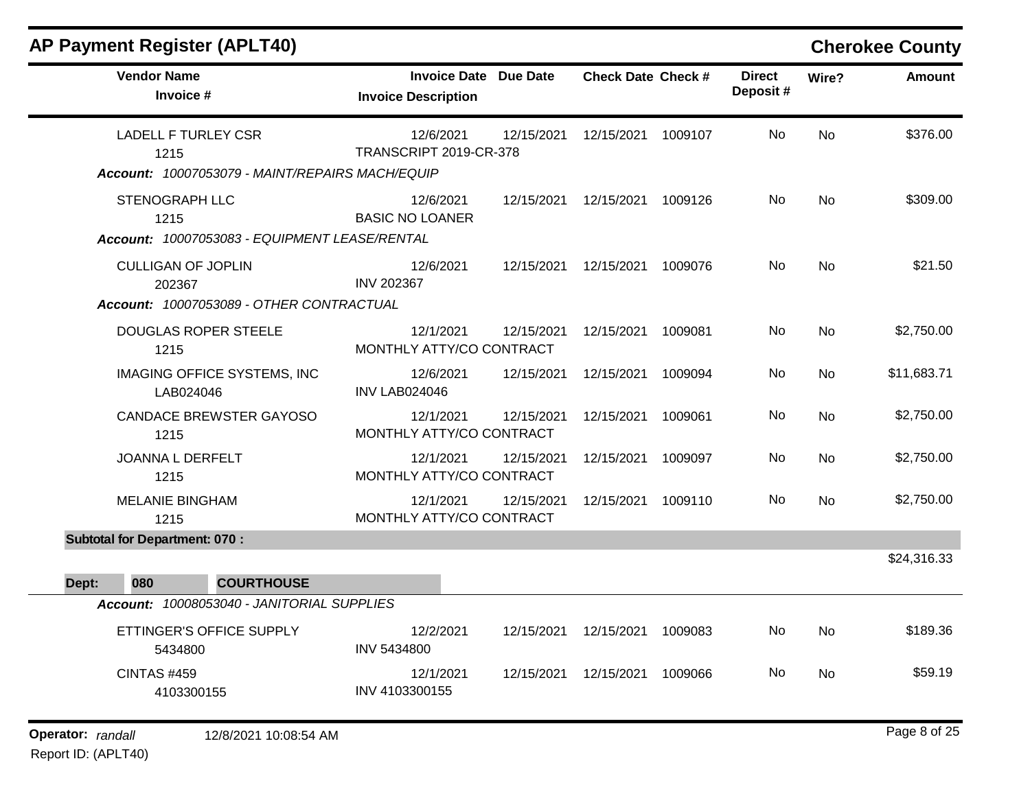| <b>AP Payment Register (APLT40)</b>                                            |                                                            |            |                           |         |                           |           | <b>Cherokee County</b> |
|--------------------------------------------------------------------------------|------------------------------------------------------------|------------|---------------------------|---------|---------------------------|-----------|------------------------|
| <b>Vendor Name</b><br>Invoice #                                                | <b>Invoice Date Due Date</b><br><b>Invoice Description</b> |            | <b>Check Date Check #</b> |         | <b>Direct</b><br>Deposit# | Wire?     | <b>Amount</b>          |
| <b>LADELL F TURLEY CSR</b><br>1215                                             | 12/6/2021<br><b>TRANSCRIPT 2019-CR-378</b>                 | 12/15/2021 | 12/15/2021                | 1009107 | No                        | <b>No</b> | \$376.00               |
| Account: 10007053079 - MAINT/REPAIRS MACH/EQUIP                                |                                                            |            |                           |         |                           |           |                        |
| <b>STENOGRAPH LLC</b><br>1215<br>Account: 10007053083 - EQUIPMENT LEASE/RENTAL | 12/6/2021<br><b>BASIC NO LOANER</b>                        | 12/15/2021 | 12/15/2021                | 1009126 | No                        | <b>No</b> | \$309.00               |
| <b>CULLIGAN OF JOPLIN</b><br>202367                                            | 12/6/2021<br><b>INV 202367</b>                             |            | 12/15/2021  12/15/2021    | 1009076 | No.                       | <b>No</b> | \$21.50                |
| Account: 10007053089 - OTHER CONTRACTUAL                                       |                                                            |            |                           |         |                           |           |                        |
| <b>DOUGLAS ROPER STEELE</b><br>1215                                            | 12/1/2021<br>MONTHLY ATTY/CO CONTRACT                      | 12/15/2021 | 12/15/2021                | 1009081 | No                        | <b>No</b> | \$2,750.00             |
| <b>IMAGING OFFICE SYSTEMS, INC</b><br>LAB024046                                | 12/6/2021<br><b>INV LAB024046</b>                          | 12/15/2021 | 12/15/2021                | 1009094 | No                        | <b>No</b> | \$11,683.71            |
| <b>CANDACE BREWSTER GAYOSO</b><br>1215                                         | 12/1/2021<br>MONTHLY ATTY/CO CONTRACT                      | 12/15/2021 | 12/15/2021                | 1009061 | No                        | No        | \$2,750.00             |
| JOANNA L DERFELT<br>1215                                                       | 12/1/2021<br>MONTHLY ATTY/CO CONTRACT                      | 12/15/2021 | 12/15/2021                | 1009097 | No                        | <b>No</b> | \$2,750.00             |
| <b>MELANIE BINGHAM</b><br>1215                                                 | 12/1/2021<br>MONTHLY ATTY/CO CONTRACT                      | 12/15/2021 | 12/15/2021                | 1009110 | No                        | No        | \$2,750.00             |
| <b>Subtotal for Department: 070:</b>                                           |                                                            |            |                           |         |                           |           |                        |
|                                                                                |                                                            |            |                           |         |                           |           | \$24,316.33            |
| Dept:<br>080<br><b>COURTHOUSE</b>                                              |                                                            |            |                           |         |                           |           |                        |
| Account: 10008053040 - JANITORIAL SUPPLIES                                     |                                                            |            |                           |         |                           |           |                        |
| ETTINGER'S OFFICE SUPPLY<br>5434800                                            | 12/2/2021<br>INV 5434800                                   |            | 12/15/2021  12/15/2021    | 1009083 | No                        | <b>No</b> | \$189.36               |
| <b>CINTAS #459</b><br>4103300155                                               | 12/1/2021<br>INV 4103300155                                | 12/15/2021 | 12/15/2021                | 1009066 | No                        | <b>No</b> | \$59.19                |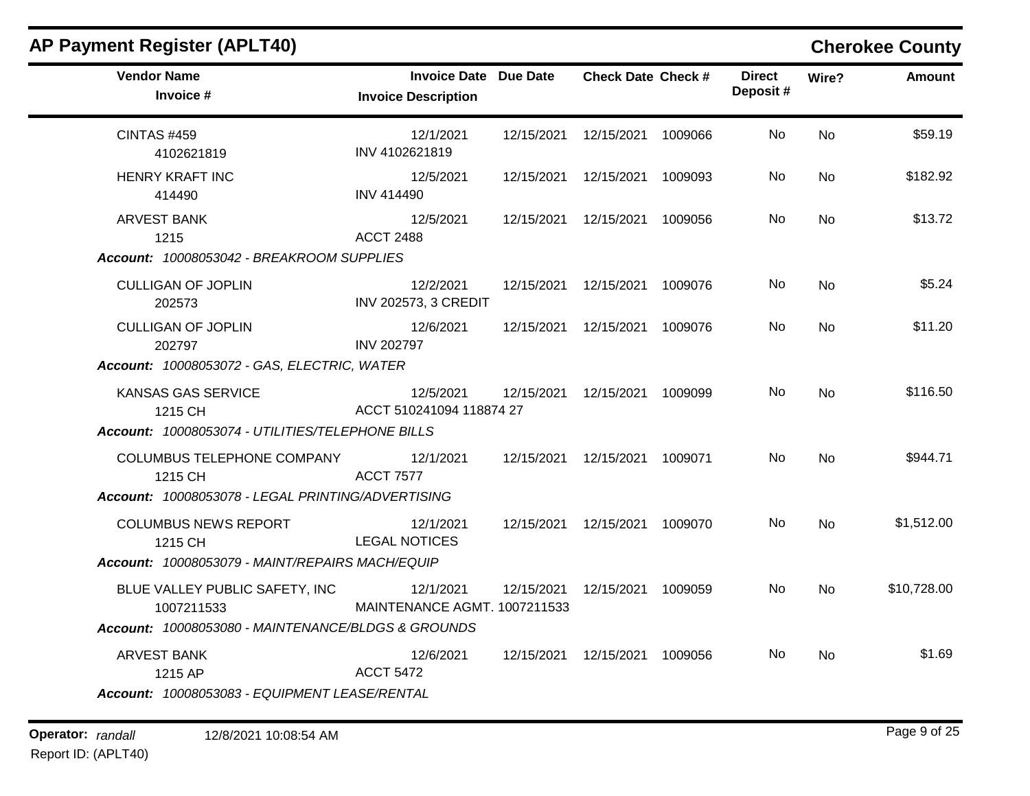| <b>Vendor Name</b>                                 | <b>Invoice Date Due Date</b>              | <b>Check Date Check #</b>       | <b>Direct</b> | Wire?     | <b>Amount</b> |
|----------------------------------------------------|-------------------------------------------|---------------------------------|---------------|-----------|---------------|
| Invoice #                                          | <b>Invoice Description</b>                |                                 | Deposit#      |           |               |
| CINTAS #459<br>4102621819                          | 12/1/2021<br>INV 4102621819               | 12/15/2021  12/15/2021  1009066 | No            | <b>No</b> | \$59.19       |
| <b>HENRY KRAFT INC</b><br>414490                   | 12/5/2021<br><b>INV 414490</b>            | 12/15/2021  12/15/2021  1009093 | No.           | <b>No</b> | \$182.92      |
| ARVEST BANK<br>1215                                | 12/5/2021<br><b>ACCT 2488</b>             | 12/15/2021  12/15/2021  1009056 | No            | <b>No</b> | \$13.72       |
| Account: 10008053042 - BREAKROOM SUPPLIES          |                                           |                                 |               |           |               |
| <b>CULLIGAN OF JOPLIN</b><br>202573                | 12/2/2021<br><b>INV 202573, 3 CREDIT</b>  | 12/15/2021  12/15/2021  1009076 | No.           | <b>No</b> | \$5.24        |
| <b>CULLIGAN OF JOPLIN</b><br>202797                | 12/6/2021<br><b>INV 202797</b>            | 12/15/2021  12/15/2021  1009076 | No.           | <b>No</b> | \$11.20       |
| Account: 10008053072 - GAS, ELECTRIC, WATER        |                                           |                                 |               |           |               |
| KANSAS GAS SERVICE<br>1215 CH                      | 12/5/2021<br>ACCT 510241094 118874 27     | 12/15/2021  12/15/2021  1009099 | No.           | <b>No</b> | \$116.50      |
| Account: 10008053074 - UTILITIES/TELEPHONE BILLS   |                                           |                                 |               |           |               |
| COLUMBUS TELEPHONE COMPANY 12/1/2021<br>1215 CH    | <b>ACCT 7577</b>                          | 12/15/2021  12/15/2021  1009071 | No.           | <b>No</b> | \$944.71      |
| Account: 10008053078 - LEGAL PRINTING/ADVERTISING  |                                           |                                 |               |           |               |
| <b>COLUMBUS NEWS REPORT</b><br>1215 CH             | 12/1/2021<br><b>LEGAL NOTICES</b>         | 12/15/2021  12/15/2021  1009070 | No.           | <b>No</b> | \$1,512.00    |
| Account: 10008053079 - MAINT/REPAIRS MACH/EQUIP    |                                           |                                 |               |           |               |
| BLUE VALLEY PUBLIC SAFETY, INC<br>1007211533       | 12/1/2021<br>MAINTENANCE AGMT. 1007211533 | 12/15/2021  12/15/2021  1009059 | No.           | <b>No</b> | \$10,728.00   |
| Account: 10008053080 - MAINTENANCE/BLDGS & GROUNDS |                                           |                                 |               |           |               |
| <b>ARVEST BANK</b><br>1215 AP                      | 12/6/2021<br><b>ACCT 5472</b>             | 12/15/2021  12/15/2021  1009056 | No.           | <b>No</b> | \$1.69        |

# **Operator:** randall 12/8/2021 10:08:54 AM *Page 9 of 25 Page 9 of 25*

Report ID: (APLT40)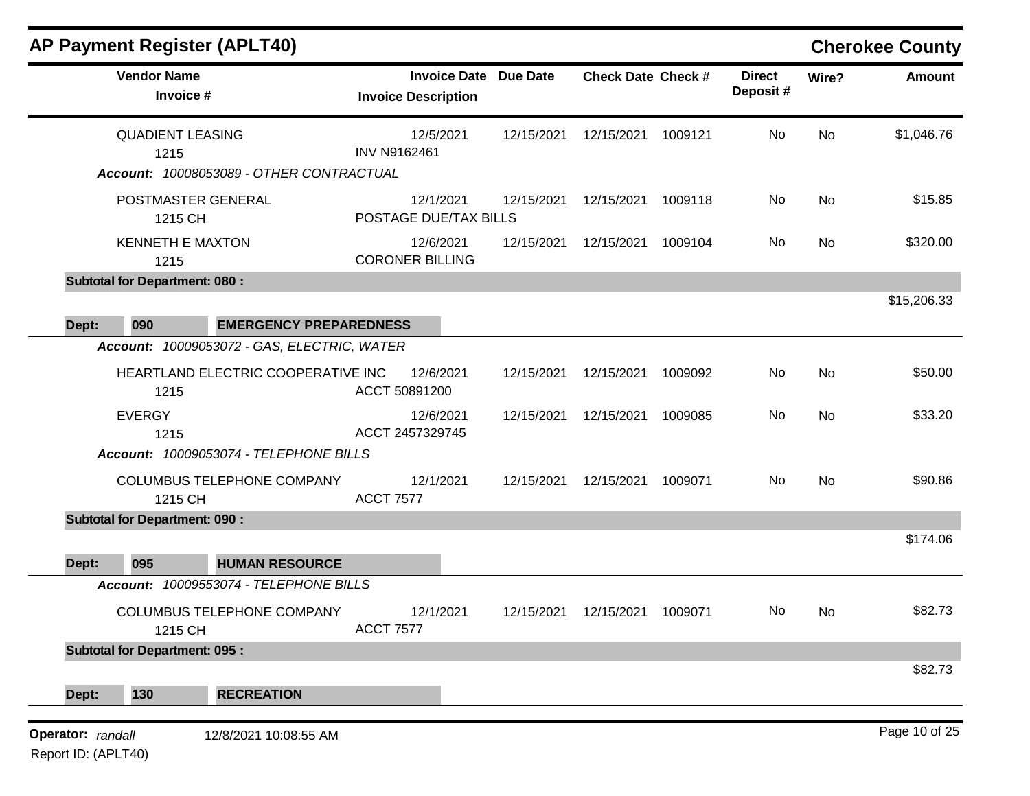|       | <b>AP Payment Register (APLT40)</b>                                         |                                             |                                  |           |                              |                           |         |                           |           | <b>Cherokee County</b> |
|-------|-----------------------------------------------------------------------------|---------------------------------------------|----------------------------------|-----------|------------------------------|---------------------------|---------|---------------------------|-----------|------------------------|
|       | <b>Vendor Name</b><br>Invoice #                                             |                                             | <b>Invoice Description</b>       |           | <b>Invoice Date Due Date</b> | <b>Check Date Check #</b> |         | <b>Direct</b><br>Deposit# | Wire?     | <b>Amount</b>          |
|       | <b>QUADIENT LEASING</b><br>1215<br>Account: 10008053089 - OTHER CONTRACTUAL |                                             | 12/5/2021<br><b>INV N9162461</b> |           | 12/15/2021                   | 12/15/2021                | 1009121 | No                        | <b>No</b> | \$1,046.76             |
|       |                                                                             |                                             |                                  |           |                              |                           |         |                           |           |                        |
|       | POSTMASTER GENERAL<br>1215 CH                                               |                                             | POSTAGE DUE/TAX BILLS            | 12/1/2021 | 12/15/2021                   | 12/15/2021                | 1009118 | No                        | <b>No</b> | \$15.85                |
|       | <b>KENNETH E MAXTON</b><br>1215                                             |                                             | <b>CORONER BILLING</b>           | 12/6/2021 | 12/15/2021                   | 12/15/2021                | 1009104 | No                        | No        | \$320.00               |
|       | <b>Subtotal for Department: 080:</b>                                        |                                             |                                  |           |                              |                           |         |                           |           |                        |
|       |                                                                             |                                             |                                  |           |                              |                           |         |                           |           | \$15,206.33            |
| Dept: | 090                                                                         | <b>EMERGENCY PREPAREDNESS</b>               |                                  |           |                              |                           |         |                           |           |                        |
|       |                                                                             | Account: 10009053072 - GAS, ELECTRIC, WATER |                                  |           |                              |                           |         |                           |           |                        |
|       | 1215                                                                        | HEARTLAND ELECTRIC COOPERATIVE INC          | ACCT 50891200                    | 12/6/2021 | 12/15/2021                   | 12/15/2021                | 1009092 | No                        | No        | \$50.00                |
|       | <b>EVERGY</b><br>1215                                                       |                                             | 12/6/2021<br>ACCT 2457329745     |           | 12/15/2021                   | 12/15/2021                | 1009085 | No                        | <b>No</b> | \$33.20                |
|       |                                                                             | Account: 10009053074 - TELEPHONE BILLS      |                                  |           |                              |                           |         |                           |           |                        |
|       | 1215 CH                                                                     | COLUMBUS TELEPHONE COMPANY                  | 12/1/2021<br><b>ACCT 7577</b>    |           | 12/15/2021                   | 12/15/2021                | 1009071 | No                        | <b>No</b> | \$90.86                |
|       | <b>Subtotal for Department: 090:</b>                                        |                                             |                                  |           |                              |                           |         |                           |           |                        |
| Dept: | 095                                                                         | <b>HUMAN RESOURCE</b>                       |                                  |           |                              |                           |         |                           |           | \$174.06               |
|       |                                                                             | Account: 10009553074 - TELEPHONE BILLS      |                                  |           |                              |                           |         |                           |           |                        |
|       | 1215 CH                                                                     | COLUMBUS TELEPHONE COMPANY                  | 12/1/2021<br><b>ACCT 7577</b>    |           | 12/15/2021                   | 12/15/2021                | 1009071 | No                        | No        | \$82.73                |
|       | <b>Subtotal for Department: 095:</b>                                        |                                             |                                  |           |                              |                           |         |                           |           |                        |
| Dept: | 130                                                                         | <b>RECREATION</b>                           |                                  |           |                              |                           |         |                           |           | \$82.73                |
|       |                                                                             |                                             |                                  |           |                              |                           |         |                           |           |                        |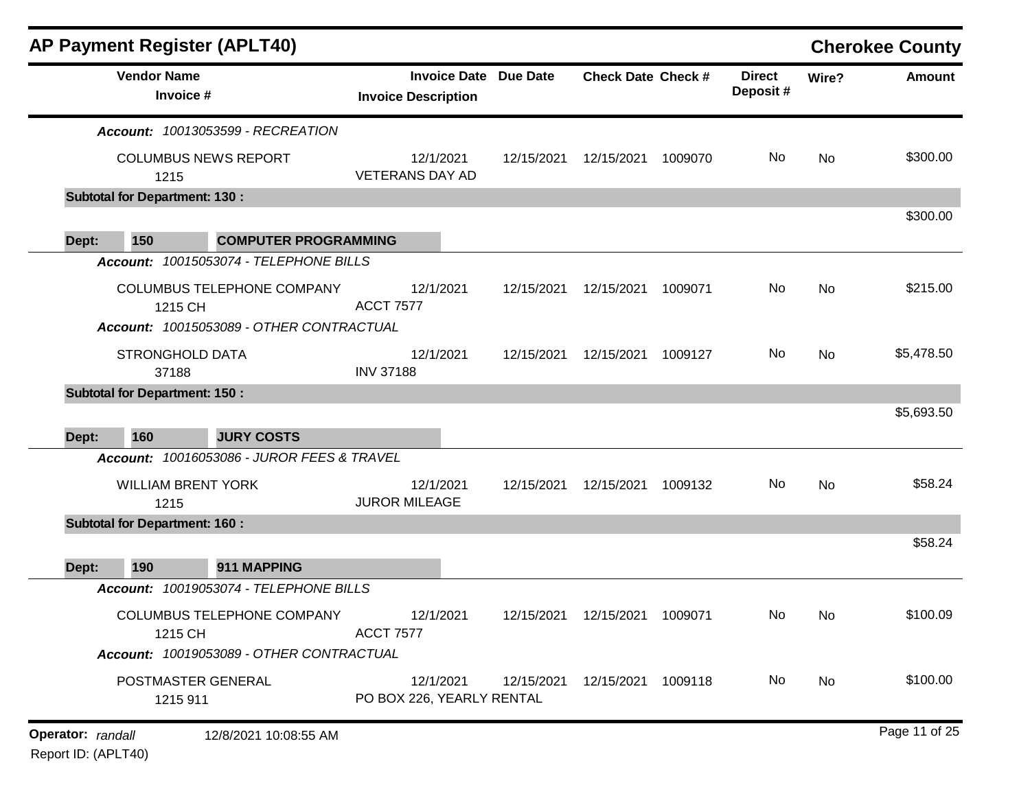|                   |                                       | <b>AP Payment Register (APLT40)</b>                                    |                  |                                                   |                 |                           |         |                           |       | <b>Cherokee County</b> |
|-------------------|---------------------------------------|------------------------------------------------------------------------|------------------|---------------------------------------------------|-----------------|---------------------------|---------|---------------------------|-------|------------------------|
|                   | <b>Vendor Name</b><br>Invoice #       |                                                                        |                  | <b>Invoice Date</b><br><b>Invoice Description</b> | <b>Due Date</b> | <b>Check Date Check #</b> |         | <b>Direct</b><br>Deposit# | Wire? | <b>Amount</b>          |
|                   |                                       | <b>Account: 10013053599 - RECREATION</b>                               |                  |                                                   |                 |                           |         |                           |       |                        |
|                   | 1215                                  | <b>COLUMBUS NEWS REPORT</b>                                            |                  | 12/1/2021<br><b>VETERANS DAY AD</b>               | 12/15/2021      | 12/15/2021                | 1009070 | No.                       | No    | \$300.00               |
|                   | <b>Subtotal for Department: 130:</b>  |                                                                        |                  |                                                   |                 |                           |         |                           |       |                        |
| Dept:             | 150                                   | <b>COMPUTER PROGRAMMING</b>                                            |                  |                                                   |                 |                           |         |                           |       | \$300.00               |
|                   |                                       | Account: 10015053074 - TELEPHONE BILLS                                 |                  |                                                   |                 |                           |         |                           |       |                        |
|                   | 1215 CH                               | COLUMBUS TELEPHONE COMPANY                                             | <b>ACCT 7577</b> | 12/1/2021                                         | 12/15/2021      | 12/15/2021                | 1009071 | No                        | No    | \$215.00               |
|                   | STRONGHOLD DATA                       | Account: 10015053089 - OTHER CONTRACTUAL                               |                  | 12/1/2021                                         | 12/15/2021      | 12/15/2021                | 1009127 | No                        | No    | \$5,478.50             |
|                   | 37188                                 |                                                                        | <b>INV 37188</b> |                                                   |                 |                           |         |                           |       |                        |
|                   | <b>Subtotal for Department: 150:</b>  |                                                                        |                  |                                                   |                 |                           |         |                           |       |                        |
|                   |                                       |                                                                        |                  |                                                   |                 |                           |         |                           |       | \$5,693.50             |
| Dept:             | 160                                   | <b>JURY COSTS</b>                                                      |                  |                                                   |                 |                           |         |                           |       |                        |
|                   |                                       | Account: 10016053086 - JUROR FEES & TRAVEL                             |                  |                                                   |                 |                           |         |                           |       |                        |
|                   | <b>WILLIAM BRENT YORK</b><br>1215     |                                                                        |                  | 12/1/2021<br><b>JUROR MILEAGE</b>                 | 12/15/2021      | 12/15/2021                | 1009132 | No                        | No    | \$58.24                |
|                   | <b>Subtotal for Department: 160 :</b> |                                                                        |                  |                                                   |                 |                           |         |                           |       |                        |
|                   |                                       |                                                                        |                  |                                                   |                 |                           |         |                           |       | \$58.24                |
| Dept:             | 190                                   | 911 MAPPING                                                            |                  |                                                   |                 |                           |         |                           |       |                        |
|                   |                                       | Account: 10019053074 - TELEPHONE BILLS                                 |                  |                                                   |                 |                           |         |                           |       |                        |
|                   | 1215 CH                               | COLUMBUS TELEPHONE COMPANY<br>Account: 10019053089 - OTHER CONTRACTUAL | <b>ACCT 7577</b> | 12/1/2021                                         | 12/15/2021      | 12/15/2021                | 1009071 | No.                       | No    | \$100.09               |
|                   | POSTMASTER GENERAL<br>1215 911        |                                                                        |                  | 12/1/2021<br>PO BOX 226, YEARLY RENTAL            | 12/15/2021      | 12/15/2021                | 1009118 | No                        | No    | \$100.00               |
| Operator: randall |                                       | 12/8/2021 10:08:55 AM                                                  |                  |                                                   |                 |                           |         |                           |       | Page 11 of 25          |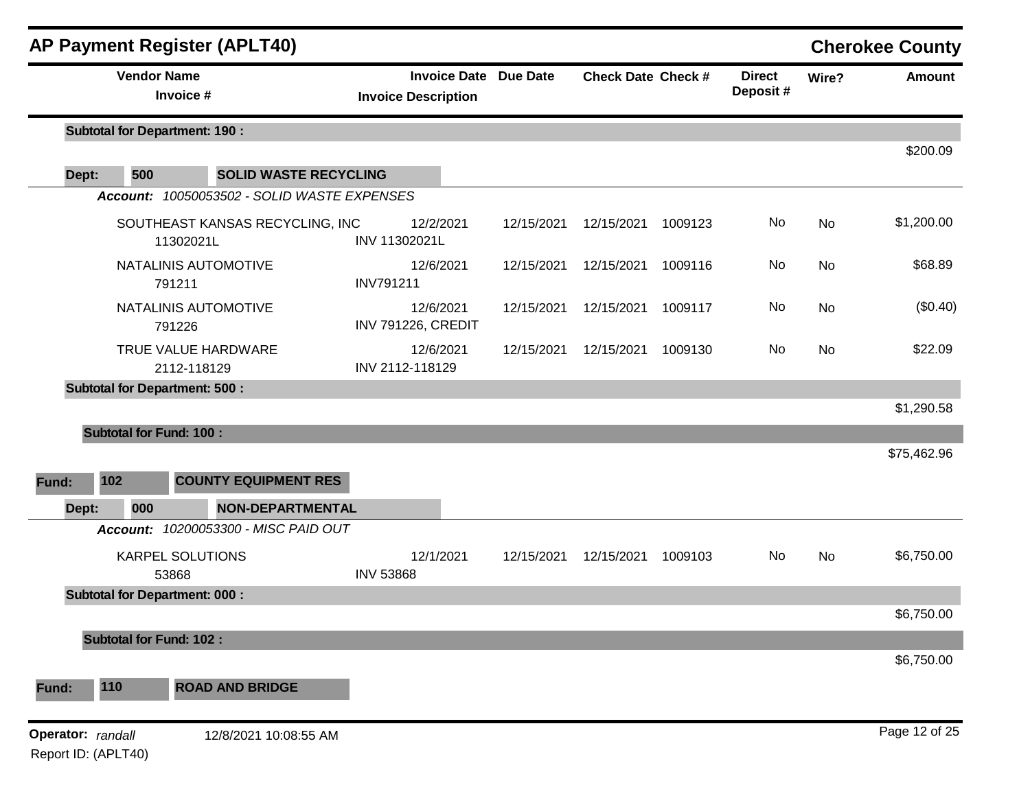|                                          |                                | <b>AP Payment Register (APLT40)</b>          |                  |                                                   |                 |                           |         |                           |           | <b>Cherokee County</b> |
|------------------------------------------|--------------------------------|----------------------------------------------|------------------|---------------------------------------------------|-----------------|---------------------------|---------|---------------------------|-----------|------------------------|
|                                          | <b>Vendor Name</b>             | Invoice #                                    |                  | <b>Invoice Date</b><br><b>Invoice Description</b> | <b>Due Date</b> | <b>Check Date Check #</b> |         | <b>Direct</b><br>Deposit# | Wire?     | <b>Amount</b>          |
|                                          |                                | <b>Subtotal for Department: 190 :</b>        |                  |                                                   |                 |                           |         |                           |           |                        |
| Dept:                                    | 500                            | <b>SOLID WASTE RECYCLING</b>                 |                  |                                                   |                 |                           |         |                           |           | \$200.09               |
|                                          |                                | Account: 10050053502 - SOLID WASTE EXPENSES  |                  |                                                   |                 |                           |         |                           |           |                        |
|                                          |                                | SOUTHEAST KANSAS RECYCLING, INC<br>11302021L | INV 11302021L    | 12/2/2021                                         | 12/15/2021      | 12/15/2021                | 1009123 | No                        | <b>No</b> | \$1,200.00             |
|                                          |                                | NATALINIS AUTOMOTIVE<br>791211               | <b>INV791211</b> | 12/6/2021                                         | 12/15/2021      | 12/15/2021                | 1009116 | No                        | No        | \$68.89                |
|                                          |                                | NATALINIS AUTOMOTIVE<br>791226               |                  | 12/6/2021<br><b>INV 791226, CREDIT</b>            | 12/15/2021      | 12/15/2021                | 1009117 | No                        | No        | (\$0.40)               |
|                                          |                                | TRUE VALUE HARDWARE<br>2112-118129           | INV 2112-118129  | 12/6/2021                                         | 12/15/2021      | 12/15/2021                | 1009130 | No                        | <b>No</b> | \$22.09                |
|                                          |                                | <b>Subtotal for Department: 500:</b>         |                  |                                                   |                 |                           |         |                           |           |                        |
|                                          |                                |                                              |                  |                                                   |                 |                           |         |                           |           | \$1,290.58             |
|                                          | <b>Subtotal for Fund: 100:</b> |                                              |                  |                                                   |                 |                           |         |                           |           | \$75,462.96            |
| Fund:                                    | 102                            | <b>COUNTY EQUIPMENT RES</b>                  |                  |                                                   |                 |                           |         |                           |           |                        |
| Dept:                                    | 000                            | <b>NON-DEPARTMENTAL</b>                      |                  |                                                   |                 |                           |         |                           |           |                        |
|                                          |                                | Account: 10200053300 - MISC PAID OUT         |                  |                                                   |                 |                           |         |                           |           |                        |
|                                          |                                | <b>KARPEL SOLUTIONS</b><br>53868             | <b>INV 53868</b> | 12/1/2021                                         | 12/15/2021      | 12/15/2021                | 1009103 | No                        | No        | \$6,750.00             |
|                                          |                                | <b>Subtotal for Department: 000:</b>         |                  |                                                   |                 |                           |         |                           |           |                        |
|                                          |                                |                                              |                  |                                                   |                 |                           |         |                           |           | \$6,750.00             |
|                                          | <b>Subtotal for Fund: 102:</b> |                                              |                  |                                                   |                 |                           |         |                           |           | \$6,750.00             |
| Fund:                                    | 110                            | <b>ROAD AND BRIDGE</b>                       |                  |                                                   |                 |                           |         |                           |           |                        |
| Operator: randall<br>Report ID: (APLT40) |                                | 12/8/2021 10:08:55 AM                        |                  |                                                   |                 |                           |         |                           |           | Page 12 of 25          |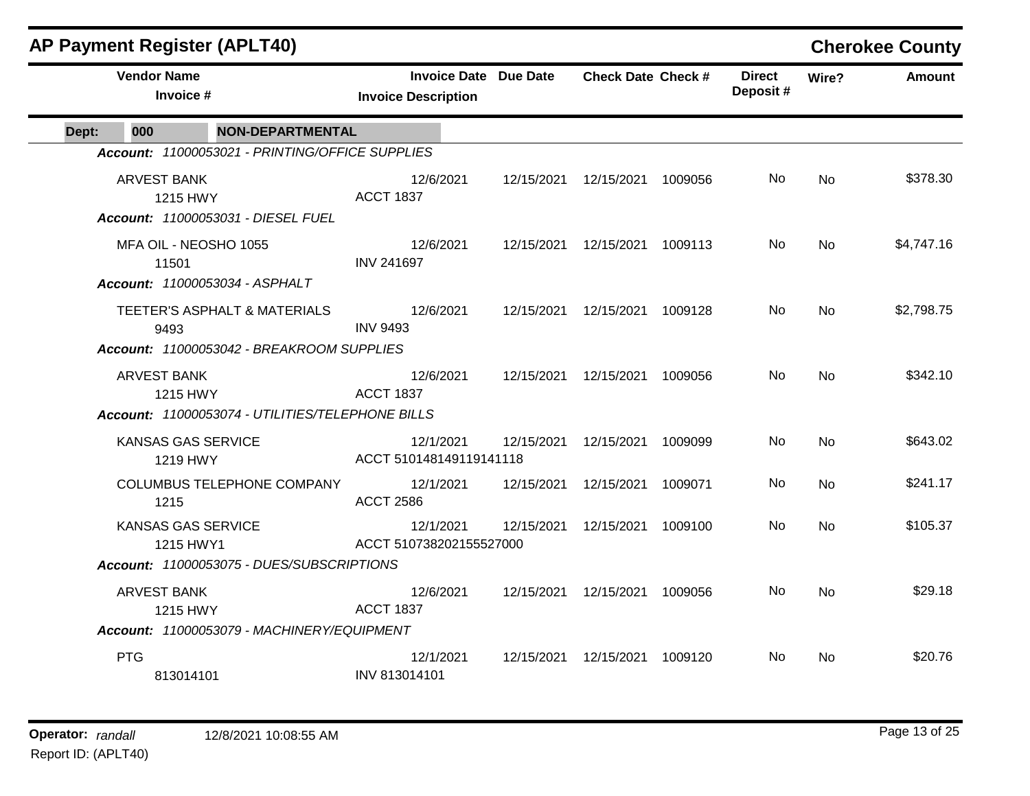|                                                                  |                                 | <b>AP Payment Register (APLT40)</b>                                       |                                                            |            |                                 |         |                           |            | <b>Cherokee County</b> |
|------------------------------------------------------------------|---------------------------------|---------------------------------------------------------------------------|------------------------------------------------------------|------------|---------------------------------|---------|---------------------------|------------|------------------------|
|                                                                  | <b>Vendor Name</b><br>Invoice # |                                                                           | <b>Invoice Date Due Date</b><br><b>Invoice Description</b> |            | <b>Check Date Check #</b>       |         | <b>Direct</b><br>Deposit# | Wire?      | <b>Amount</b>          |
| Dept:                                                            | 000                             | <b>NON-DEPARTMENTAL</b>                                                   |                                                            |            |                                 |         |                           |            |                        |
|                                                                  |                                 | Account: 11000053021 - PRINTING/OFFICE SUPPLIES                           |                                                            |            |                                 |         |                           |            |                        |
|                                                                  | <b>ARVEST BANK</b>              | 1215 HWY<br>Account: 11000053031 - DIESEL FUEL                            | 12/6/2021<br><b>ACCT 1837</b>                              | 12/15/2021 | 12/15/2021                      | 1009056 | No.                       | <b>No</b>  | \$378.30               |
| MFA OIL - NEOSHO 1055<br>11501<br>Account: 11000053034 - ASPHALT |                                 | 12/6/2021<br><b>INV 241697</b>                                            | 12/15/2021                                                 | 12/15/2021 | 1009113                         | No.     | <b>No</b>                 | \$4,747.16 |                        |
|                                                                  | 9493                            | TEETER'S ASPHALT & MATERIALS<br>Account: 11000053042 - BREAKROOM SUPPLIES | 12/6/2021<br><b>INV 9493</b>                               |            | 12/15/2021  12/15/2021  1009128 |         | No.                       | <b>No</b>  | \$2,798.75             |
|                                                                  | <b>ARVEST BANK</b>              | 1215 HWY<br>Account: 11000053074 - UTILITIES/TELEPHONE BILLS              | 12/6/2021<br><b>ACCT 1837</b>                              |            | 12/15/2021  12/15/2021          | 1009056 | No.                       | <b>No</b>  | \$342.10               |
|                                                                  |                                 | KANSAS GAS SERVICE<br>1219 HWY                                            | 12/1/2021<br>ACCT 510148149119141118                       | 12/15/2021 | 12/15/2021                      | 1009099 | No.                       | No         | \$643.02               |
|                                                                  | 1215                            | COLUMBUS TELEPHONE COMPANY                                                | 12/1/2021<br><b>ACCT 2586</b>                              | 12/15/2021 | 12/15/2021                      | 1009071 | No                        | No         | \$241.17               |
|                                                                  |                                 | <b>KANSAS GAS SERVICE</b><br>1215 HWY1                                    | 12/1/2021<br>ACCT 510738202155527000                       | 12/15/2021 | 12/15/2021                      | 1009100 | No.                       | No         | \$105.37               |
|                                                                  |                                 | Account: 11000053075 - DUES/SUBSCRIPTIONS                                 |                                                            |            |                                 |         |                           |            |                        |
|                                                                  | <b>ARVEST BANK</b>              | 1215 HWY<br>Account: 11000053079 - MACHINERY/EQUIPMENT                    | 12/6/2021<br><b>ACCT 1837</b>                              | 12/15/2021 | 12/15/2021                      | 1009056 | No.                       | <b>No</b>  | \$29.18                |
|                                                                  | <b>PTG</b>                      | 813014101                                                                 | 12/1/2021<br>INV 813014101                                 |            | 12/15/2021  12/15/2021          | 1009120 | No.                       | No         | \$20.76                |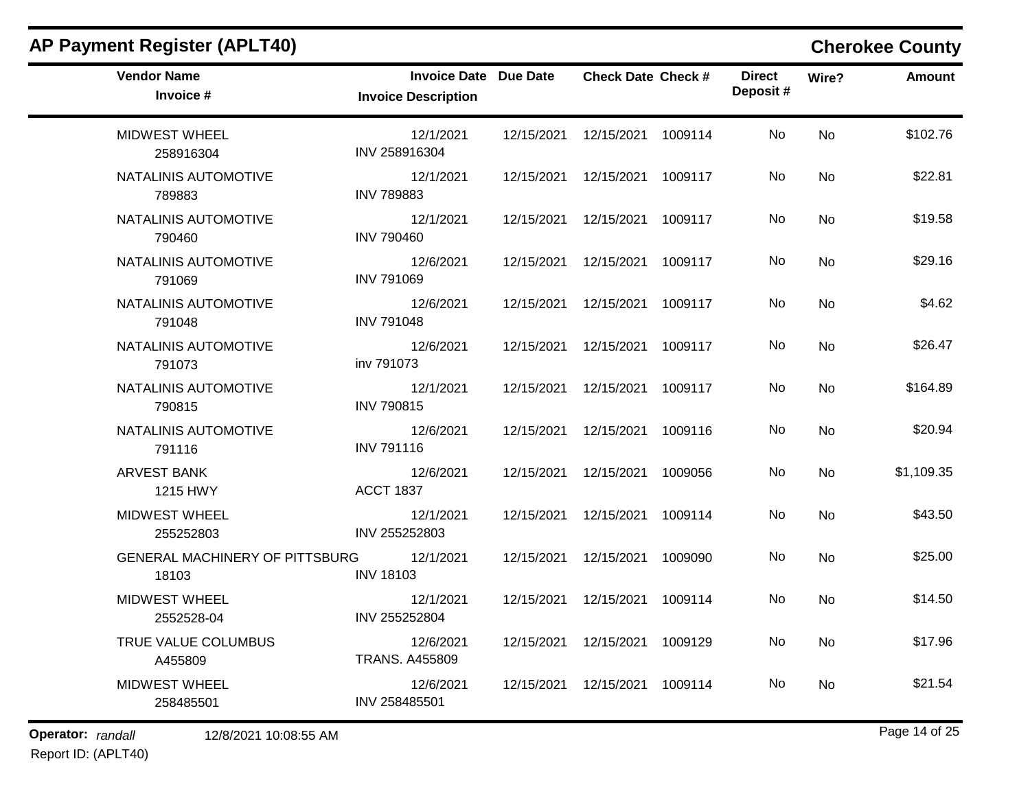| <b>AP Payment Register (APLT40)</b>            |                                                            |            |                           |         |                           |       | <b>Cherokee County</b> |
|------------------------------------------------|------------------------------------------------------------|------------|---------------------------|---------|---------------------------|-------|------------------------|
| <b>Vendor Name</b><br>Invoice #                | <b>Invoice Date Due Date</b><br><b>Invoice Description</b> |            | <b>Check Date Check #</b> |         | <b>Direct</b><br>Deposit# | Wire? | <b>Amount</b>          |
| <b>MIDWEST WHEEL</b><br>258916304              | 12/1/2021<br>INV 258916304                                 | 12/15/2021 | 12/15/2021                | 1009114 | No                        | No    | \$102.76               |
| NATALINIS AUTOMOTIVE<br>789883                 | 12/1/2021<br><b>INV 789883</b>                             | 12/15/2021 | 12/15/2021                | 1009117 | No                        | No    | \$22.81                |
| NATALINIS AUTOMOTIVE<br>790460                 | 12/1/2021<br><b>INV 790460</b>                             | 12/15/2021 | 12/15/2021                | 1009117 | No                        | No    | \$19.58                |
| NATALINIS AUTOMOTIVE<br>791069                 | 12/6/2021<br><b>INV 791069</b>                             | 12/15/2021 | 12/15/2021                | 1009117 | No                        | No    | \$29.16                |
| NATALINIS AUTOMOTIVE<br>791048                 | 12/6/2021<br><b>INV 791048</b>                             | 12/15/2021 | 12/15/2021                | 1009117 | No                        | No    | \$4.62                 |
| NATALINIS AUTOMOTIVE<br>791073                 | 12/6/2021<br>inv 791073                                    | 12/15/2021 | 12/15/2021                | 1009117 | No                        | No    | \$26.47                |
| NATALINIS AUTOMOTIVE<br>790815                 | 12/1/2021<br><b>INV 790815</b>                             | 12/15/2021 | 12/15/2021                | 1009117 | No                        | No    | \$164.89               |
| NATALINIS AUTOMOTIVE<br>791116                 | 12/6/2021<br><b>INV 791116</b>                             | 12/15/2021 | 12/15/2021                | 1009116 | No                        | No    | \$20.94                |
| <b>ARVEST BANK</b><br>1215 HWY                 | 12/6/2021<br><b>ACCT 1837</b>                              | 12/15/2021 | 12/15/2021                | 1009056 | No                        | No    | \$1,109.35             |
| <b>MIDWEST WHEEL</b><br>255252803              | 12/1/2021<br>INV 255252803                                 | 12/15/2021 | 12/15/2021                | 1009114 | No                        | No    | \$43.50                |
| <b>GENERAL MACHINERY OF PITTSBURG</b><br>18103 | 12/1/2021<br><b>INV 18103</b>                              | 12/15/2021 | 12/15/2021                | 1009090 | No                        | No    | \$25.00                |
| <b>MIDWEST WHEEL</b><br>2552528-04             | 12/1/2021<br>INV 255252804                                 | 12/15/2021 | 12/15/2021                | 1009114 | No                        | No    | \$14.50                |
| TRUE VALUE COLUMBUS<br>A455809                 | 12/6/2021<br><b>TRANS. A455809</b>                         | 12/15/2021 | 12/15/2021                | 1009129 | No                        | No    | \$17.96                |
| <b>MIDWEST WHEEL</b><br>258485501              | 12/6/2021<br>INV 258485501                                 | 12/15/2021 | 12/15/2021                | 1009114 | No                        | No    | \$21.54                |

### **Operator:** randall 12/8/2021 10:08:55 AM *Page 14 of 25 Page 14 of 25*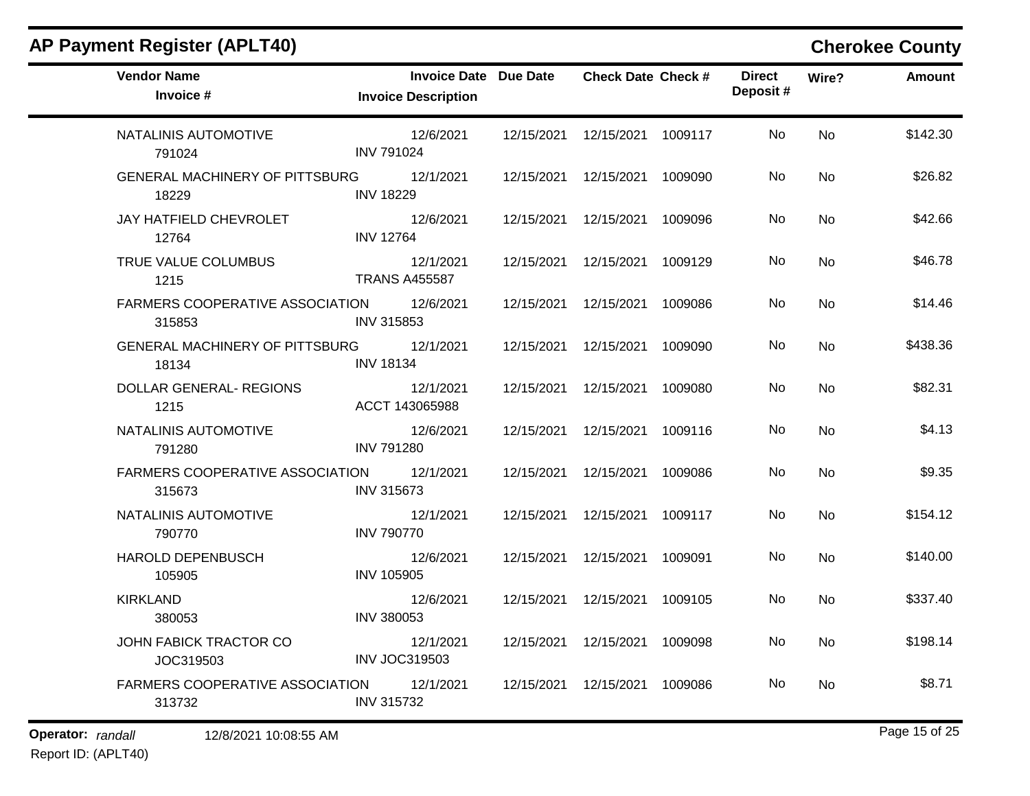| <b>Vendor Name</b><br>Invoice #            | <b>Invoice Date Due Date</b><br><b>Invoice Description</b> | <b>Check Date Check #</b>       |         | <b>Direct</b><br>Deposit# | Wire?     | <b>Amount</b> |
|--------------------------------------------|------------------------------------------------------------|---------------------------------|---------|---------------------------|-----------|---------------|
| NATALINIS AUTOMOTIVE<br>791024             | 12/6/2021<br><b>INV 791024</b>                             | 12/15/2021  12/15/2021  1009117 |         | No                        | <b>No</b> | \$142.30      |
| GENERAL MACHINERY OF PITTSBURG<br>18229    | 12/1/2021<br><b>INV 18229</b>                              | 12/15/2021  12/15/2021  1009090 |         | No                        | <b>No</b> | \$26.82       |
| JAY HATFIELD CHEVROLET<br>12764            | 12/6/2021<br><b>INV 12764</b>                              | 12/15/2021  12/15/2021  1009096 |         | No                        | <b>No</b> | \$42.66       |
| TRUE VALUE COLUMBUS<br>1215                | 12/1/2021<br><b>TRANS A455587</b>                          | 12/15/2021  12/15/2021  1009129 |         | No                        | <b>No</b> | \$46.78       |
| FARMERS COOPERATIVE ASSOCIATION<br>315853  | 12/6/2021<br>INV 315853                                    | 12/15/2021  12/15/2021  1009086 |         | No                        | <b>No</b> | \$14.46       |
| GENERAL MACHINERY OF PITTSBURG<br>18134    | 12/1/2021<br><b>INV 18134</b>                              | 12/15/2021  12/15/2021  1009090 |         | No                        | <b>No</b> | \$438.36      |
| DOLLAR GENERAL- REGIONS<br>1215            | 12/1/2021<br>ACCT 143065988                                | 12/15/2021  12/15/2021  1009080 |         | No                        | <b>No</b> | \$82.31       |
| NATALINIS AUTOMOTIVE<br>791280             | 12/6/2021<br><b>INV 791280</b>                             | 12/15/2021  12/15/2021  1009116 |         | No                        | No        | \$4.13        |
| FARMERS COOPERATIVE ASSOCIATION<br>315673  | 12/1/2021<br><b>INV 315673</b>                             | 12/15/2021  12/15/2021  1009086 |         | No                        | <b>No</b> | \$9.35        |
| NATALINIS AUTOMOTIVE<br>790770             | 12/1/2021<br><b>INV 790770</b>                             | 12/15/2021  12/15/2021  1009117 |         | No                        | <b>No</b> | \$154.12      |
| <b>HAROLD DEPENBUSCH</b><br>105905         | 12/6/2021<br><b>INV 105905</b>                             | 12/15/2021  12/15/2021          | 1009091 | No                        | No        | \$140.00      |
| <b>KIRKLAND</b><br>380053                  | 12/6/2021<br>INV 380053                                    | 12/15/2021  12/15/2021  1009105 |         | No                        | No        | \$337.40      |
| JOHN FABICK TRACTOR CO<br>JOC319503        | 12/1/2021<br><b>INV JOC319503</b>                          | 12/15/2021  12/15/2021  1009098 |         | No                        | No        | \$198.14      |
| FARMERS COOPERATIVE ASSOCIATION<br>313732  | 12/1/2021<br><b>INV 315732</b>                             | 12/15/2021  12/15/2021  1009086 |         | No                        | No        | \$8.71        |
| Operator: randall<br>12/8/2021 10:08:55 AM |                                                            |                                 |         |                           |           | Page 15 of 25 |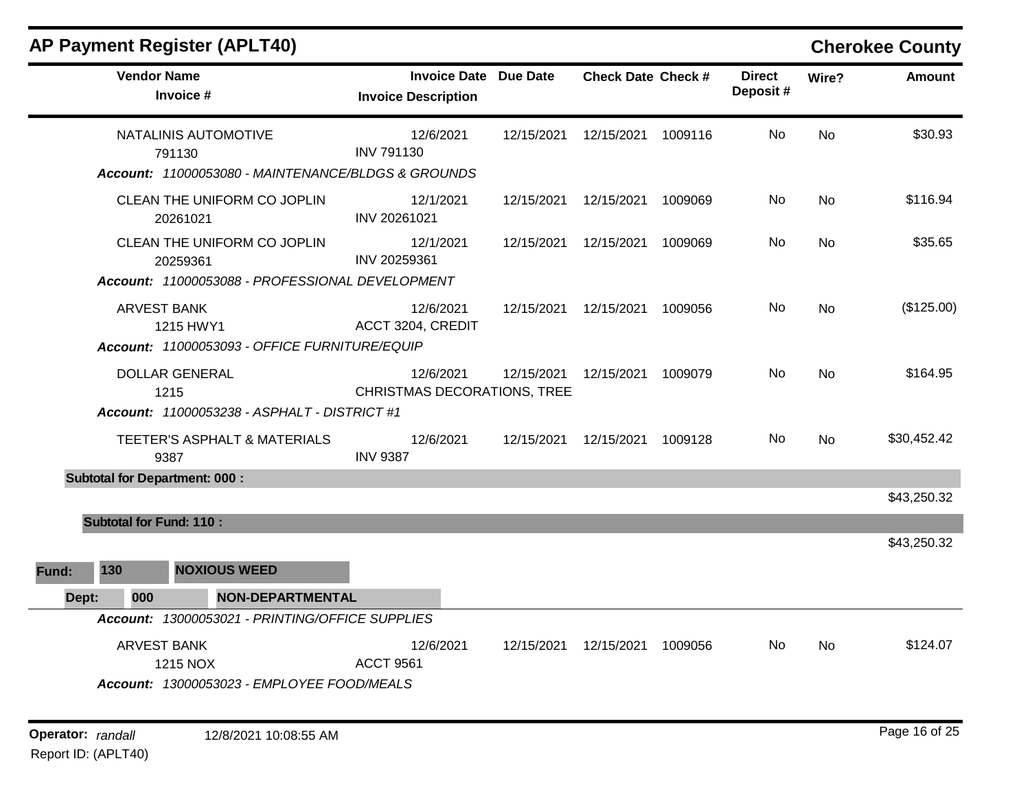m.

|       | <b>Vendor Name</b><br>Invoice #                                                            | <b>Invoice Date Due Date</b><br><b>Invoice Description</b> |            | <b>Check Date Check #</b> |         | <b>Direct</b><br>Deposit# | Wire?     | <b>Amount</b> |
|-------|--------------------------------------------------------------------------------------------|------------------------------------------------------------|------------|---------------------------|---------|---------------------------|-----------|---------------|
|       | NATALINIS AUTOMOTIVE<br>791130<br>Account: 11000053080 - MAINTENANCE/BLDGS & GROUNDS       | 12/6/2021<br><b>INV 791130</b>                             | 12/15/2021 | 12/15/2021 1009116        |         | No                        | <b>No</b> | \$30.93       |
|       | CLEAN THE UNIFORM CO JOPLIN<br>20261021                                                    | 12/1/2021<br>INV 20261021                                  | 12/15/2021 | 12/15/2021                | 1009069 | No                        | <b>No</b> | \$116.94      |
|       | CLEAN THE UNIFORM CO JOPLIN<br>20259361<br>Account: 11000053088 - PROFESSIONAL DEVELOPMENT | 12/1/2021<br>INV 20259361                                  | 12/15/2021 | 12/15/2021 1009069        |         | No                        | <b>No</b> | \$35.65       |
|       | <b>ARVEST BANK</b><br>1215 HWY1<br>Account: 11000053093 - OFFICE FURNITURE/EQUIP           | 12/6/2021<br>ACCT 3204, CREDIT                             | 12/15/2021 | 12/15/2021 1009056        |         | No.                       | <b>No</b> | (\$125.00)    |
|       | <b>DOLLAR GENERAL</b><br>1215<br>Account: 11000053238 - ASPHALT - DISTRICT #1              | 12/6/2021<br><b>CHRISTMAS DECORATIONS, TREE</b>            | 12/15/2021 | 12/15/2021 1009079        |         | No                        | <b>No</b> | \$164.95      |
|       | TEETER'S ASPHALT & MATERIALS<br>9387                                                       | 12/6/2021<br><b>INV 9387</b>                               | 12/15/2021 | 12/15/2021                | 1009128 | No                        | No        | \$30,452.42   |
|       | <b>Subtotal for Department: 000:</b>                                                       |                                                            |            |                           |         |                           |           | \$43,250.32   |
|       | <b>Subtotal for Fund: 110:</b>                                                             |                                                            |            |                           |         |                           |           |               |
| Fund: | <b>NOXIOUS WEED</b><br>130                                                                 |                                                            |            |                           |         |                           |           | \$43,250.32   |
|       | <b>NON-DEPARTMENTAL</b><br>000<br>Dept:                                                    |                                                            |            |                           |         |                           |           |               |
|       | Account: 13000053021 - PRINTING/OFFICE SUPPLIES                                            |                                                            |            |                           |         |                           |           |               |
|       | <b>ARVEST BANK</b><br>1215 NOX<br>Account: 13000053023 - EMPLOYEE FOOD/MEALS               | 12/6/2021<br><b>ACCT 9561</b>                              | 12/15/2021 | 12/15/2021                | 1009056 | No.                       | <b>No</b> | \$124.07      |
|       |                                                                                            |                                                            |            |                           |         |                           |           |               |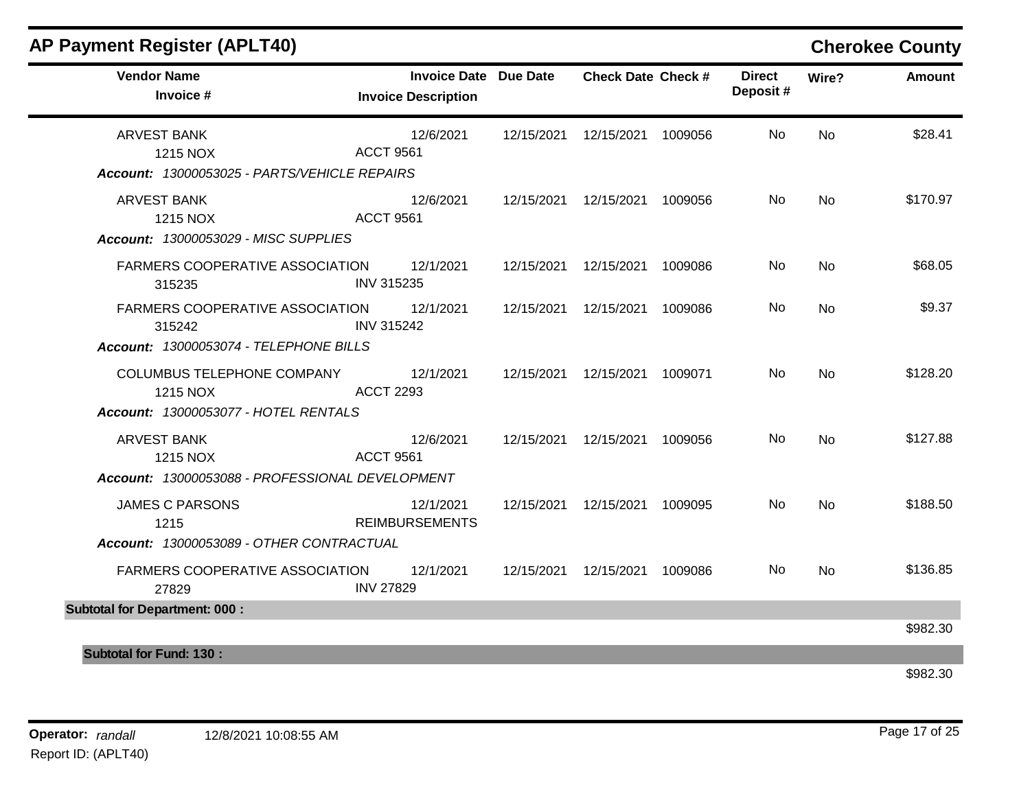| <b>Vendor Name</b><br>Invoice #                                                  | Invoice Date Due Date<br><b>Invoice Description</b> | <b>Check Date Check #</b>       | <b>Direct</b><br>Deposit# | Wire?     | Amount   |
|----------------------------------------------------------------------------------|-----------------------------------------------------|---------------------------------|---------------------------|-----------|----------|
| <b>ARVEST BANK</b><br>1215 NOX                                                   | 12/6/2021<br><b>ACCT 9561</b>                       | 12/15/2021  12/15/2021  1009056 | No                        | <b>No</b> | \$28.41  |
| Account: 13000053025 - PARTS/VEHICLE REPAIRS                                     |                                                     |                                 |                           |           |          |
| ARVEST BANK<br>1215 NOX                                                          | 12/6/2021<br><b>ACCT 9561</b>                       | 12/15/2021  12/15/2021  1009056 | No                        | <b>No</b> | \$170.97 |
| Account: 13000053029 - MISC SUPPLIES                                             |                                                     |                                 |                           |           |          |
| FARMERS COOPERATIVE ASSOCIATION<br>315235                                        | 12/1/2021<br><b>INV 315235</b>                      | 12/15/2021  12/15/2021  1009086 | No                        | <b>No</b> | \$68.05  |
| FARMERS COOPERATIVE ASSOCIATION 12/1/2021<br>315242                              | <b>INV 315242</b>                                   | 12/15/2021  12/15/2021  1009086 | No                        | <b>No</b> | \$9.37   |
| Account: 13000053074 - TELEPHONE BILLS                                           |                                                     |                                 |                           |           |          |
| COLUMBUS TELEPHONE COMPANY 12/1/2021<br>1215 NOX                                 | <b>ACCT 2293</b>                                    | 12/15/2021  12/15/2021  1009071 | No                        | <b>No</b> | \$128.20 |
| Account: 13000053077 - HOTEL RENTALS                                             |                                                     |                                 |                           |           |          |
| <b>ARVEST BANK</b><br>1215 NOX                                                   | 12/6/2021<br><b>ACCT 9561</b>                       | 12/15/2021  12/15/2021  1009056 | No.                       | <b>No</b> | \$127.88 |
| Account: 13000053088 - PROFESSIONAL DEVELOPMENT                                  |                                                     |                                 |                           |           |          |
| <b>JAMES C PARSONS</b><br>1215                                                   | 12/1/2021<br><b>REIMBURSEMENTS</b>                  | 12/15/2021  12/15/2021  1009095 | No                        | <b>No</b> | \$188.50 |
| Account: 13000053089 - OTHER CONTRACTUAL                                         |                                                     |                                 |                           |           |          |
| FARMERS COOPERATIVE ASSOCIATION 12/1/2021 12/15/2021 12/15/2021 1009086<br>27829 | <b>INV 27829</b>                                    |                                 | No.                       | <b>No</b> | \$136.85 |
| <b>Subtotal for Department: 000:</b>                                             |                                                     |                                 |                           |           |          |
|                                                                                  |                                                     |                                 |                           |           | \$982.30 |
| <b>Subtotal for Fund: 130:</b>                                                   |                                                     |                                 |                           |           |          |
|                                                                                  |                                                     |                                 |                           |           | \$982.30 |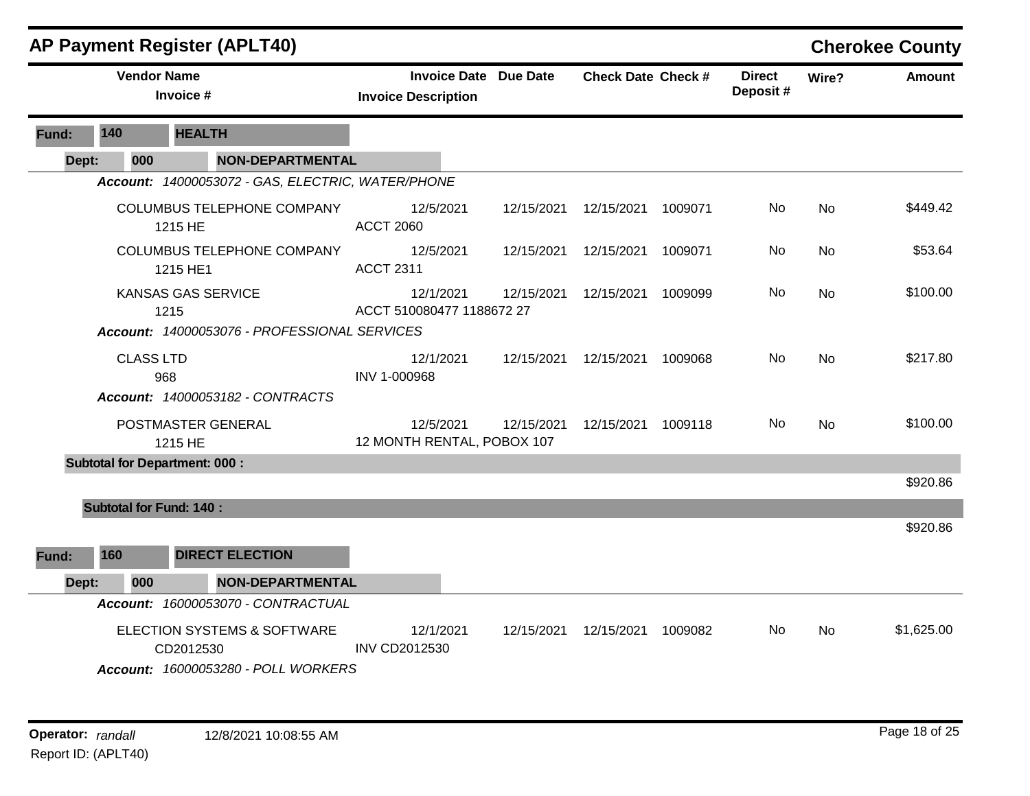|              |                                | <b>AP Payment Register (APLT40)</b>                                               |                                                            |            |                           |         |                           |                | <b>Cherokee County</b> |
|--------------|--------------------------------|-----------------------------------------------------------------------------------|------------------------------------------------------------|------------|---------------------------|---------|---------------------------|----------------|------------------------|
|              | <b>Vendor Name</b>             | Invoice #                                                                         | <b>Invoice Date Due Date</b><br><b>Invoice Description</b> |            | <b>Check Date Check #</b> |         | <b>Direct</b><br>Deposit# | Wire?          | <b>Amount</b>          |
| <b>Fund:</b> | 140                            | <b>HEALTH</b>                                                                     |                                                            |            |                           |         |                           |                |                        |
| Dept:        | 000                            | <b>NON-DEPARTMENTAL</b>                                                           |                                                            |            |                           |         |                           |                |                        |
|              |                                | Account: 14000053072 - GAS, ELECTRIC, WATER/PHONE                                 |                                                            |            |                           |         |                           |                |                        |
|              |                                | COLUMBUS TELEPHONE COMPANY<br>1215 HE                                             | 12/5/2021<br><b>ACCT 2060</b>                              | 12/15/2021 | 12/15/2021                | 1009071 | No.                       | <b>No</b>      | \$449.42               |
|              |                                | COLUMBUS TELEPHONE COMPANY<br>1215 HE1                                            | 12/5/2021<br><b>ACCT 2311</b>                              | 12/15/2021 | 12/15/2021                | 1009071 | No.                       | N <sub>0</sub> | \$53.64                |
|              |                                | <b>KANSAS GAS SERVICE</b><br>1215<br>Account: 14000053076 - PROFESSIONAL SERVICES | 12/1/2021<br>ACCT 510080477 1188672 27                     | 12/15/2021 | 12/15/2021                | 1009099 | No.                       | <b>No</b>      | \$100.00               |
|              |                                |                                                                                   |                                                            |            |                           |         |                           |                |                        |
|              | <b>CLASS LTD</b>               | 968                                                                               | 12/1/2021<br>INV 1-000968                                  |            | 12/15/2021  12/15/2021    | 1009068 | No.                       | <b>No</b>      | \$217.80               |
|              |                                | Account: 14000053182 - CONTRACTS                                                  |                                                            |            |                           |         |                           |                |                        |
|              |                                | POSTMASTER GENERAL<br>1215 HE                                                     | 12/5/2021<br>12 MONTH RENTAL, POBOX 107                    | 12/15/2021 | 12/15/2021                | 1009118 | No.                       | <b>No</b>      | \$100.00               |
|              |                                | <b>Subtotal for Department: 000:</b>                                              |                                                            |            |                           |         |                           |                |                        |
|              |                                |                                                                                   |                                                            |            |                           |         |                           |                | \$920.86               |
|              | <b>Subtotal for Fund: 140:</b> |                                                                                   |                                                            |            |                           |         |                           |                | \$920.86               |
|              |                                |                                                                                   |                                                            |            |                           |         |                           |                |                        |
| Fund:        | 160                            | <b>DIRECT ELECTION</b>                                                            |                                                            |            |                           |         |                           |                |                        |
| Dept:        | 000                            | <b>NON-DEPARTMENTAL</b>                                                           |                                                            |            |                           |         |                           |                |                        |
|              |                                | Account: 16000053070 - CONTRACTUAL                                                |                                                            |            |                           |         |                           |                |                        |
|              |                                | ELECTION SYSTEMS & SOFTWARE<br>CD2012530                                          | 12/1/2021<br><b>INV CD2012530</b>                          | 12/15/2021 | 12/15/2021                | 1009082 | No                        | <b>No</b>      | \$1,625.00             |
|              |                                | Account: 16000053280 - POLL WORKERS                                               |                                                            |            |                           |         |                           |                |                        |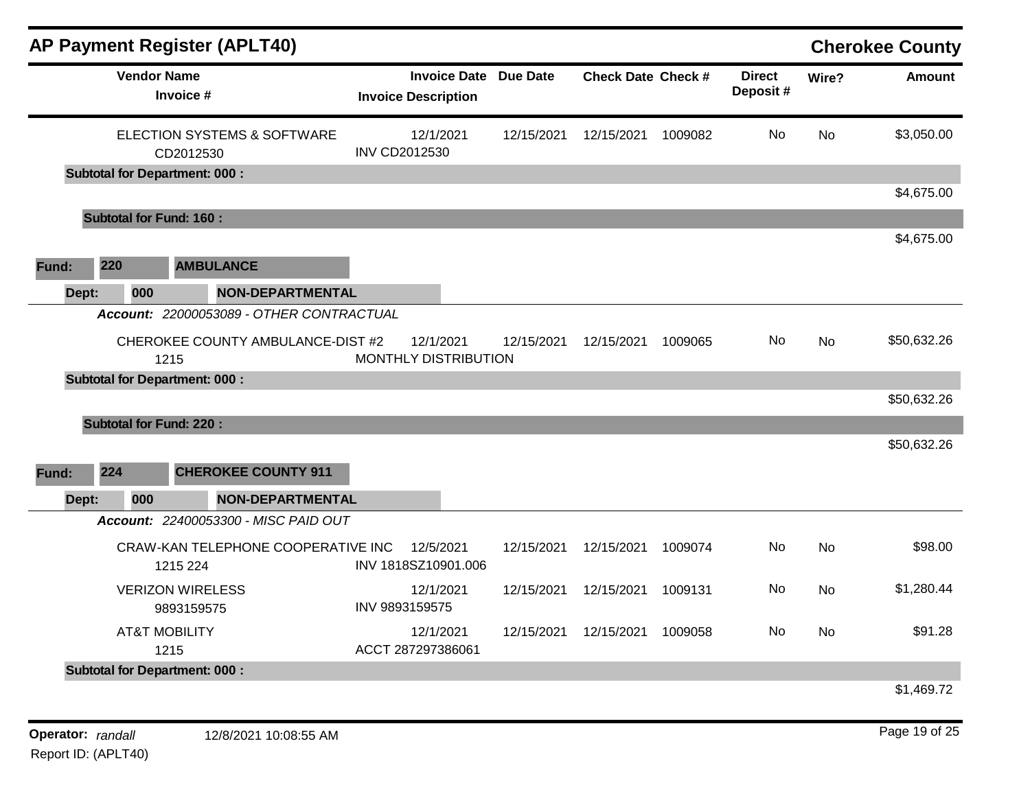|              |                                                     |                         |                                                            |            |                           |         |                           |           | <b>Cherokee County</b> |
|--------------|-----------------------------------------------------|-------------------------|------------------------------------------------------------|------------|---------------------------|---------|---------------------------|-----------|------------------------|
|              | <b>Vendor Name</b><br>Invoice #                     |                         | <b>Invoice Date Due Date</b><br><b>Invoice Description</b> |            | <b>Check Date Check #</b> |         | <b>Direct</b><br>Deposit# | Wire?     | <b>Amount</b>          |
|              | <b>ELECTION SYSTEMS &amp; SOFTWARE</b><br>CD2012530 | <b>INV CD2012530</b>    | 12/1/2021                                                  | 12/15/2021 | 12/15/2021                | 1009082 | No.                       | <b>No</b> | \$3,050.00             |
|              | <b>Subtotal for Department: 000:</b>                |                         |                                                            |            |                           |         |                           |           |                        |
|              |                                                     |                         |                                                            |            |                           |         |                           |           | \$4,675.00             |
|              | <b>Subtotal for Fund: 160:</b>                      |                         |                                                            |            |                           |         |                           |           |                        |
|              |                                                     |                         |                                                            |            |                           |         |                           |           | \$4,675.00             |
| 220<br>Fund: | <b>AMBULANCE</b>                                    |                         |                                                            |            |                           |         |                           |           |                        |
| Dept:        | 000                                                 | <b>NON-DEPARTMENTAL</b> |                                                            |            |                           |         |                           |           |                        |
|              | Account: 22000053089 - OTHER CONTRACTUAL            |                         |                                                            |            |                           |         |                           |           |                        |
|              | CHEROKEE COUNTY AMBULANCE-DIST #2                   |                         | 12/1/2021                                                  | 12/15/2021 | 12/15/2021                | 1009065 | N <sub>0</sub>            | No        | \$50,632.26            |
|              | 1215                                                |                         | MONTHLY DISTRIBUTION                                       |            |                           |         |                           |           |                        |
|              | <b>Subtotal for Department: 000:</b>                |                         |                                                            |            |                           |         |                           |           |                        |
|              |                                                     |                         |                                                            |            |                           |         |                           |           | \$50,632.26            |
|              | <b>Subtotal for Fund: 220:</b>                      |                         |                                                            |            |                           |         |                           |           |                        |
|              |                                                     |                         |                                                            |            |                           |         |                           |           | \$50,632.26            |
| 224<br>Fund: | <b>CHEROKEE COUNTY 911</b>                          |                         |                                                            |            |                           |         |                           |           |                        |
| Dept:        | 000                                                 | <b>NON-DEPARTMENTAL</b> |                                                            |            |                           |         |                           |           |                        |
|              | Account: 22400053300 - MISC PAID OUT                |                         |                                                            |            |                           |         |                           |           |                        |
|              | CRAW-KAN TELEPHONE COOPERATIVE INC<br>1215 224      |                         | 12/5/2021<br>INV 1818SZ10901.006                           | 12/15/2021 | 12/15/2021                | 1009074 | No                        | <b>No</b> | \$98.00                |
|              | <b>VERIZON WIRELESS</b><br>9893159575               | INV 9893159575          | 12/1/2021                                                  | 12/15/2021 | 12/15/2021                | 1009131 | No                        | <b>No</b> | \$1,280.44             |
|              | <b>AT&amp;T MOBILITY</b><br>1215                    |                         | 12/1/2021<br>ACCT 287297386061                             | 12/15/2021 | 12/15/2021                | 1009058 | No                        | No        | \$91.28                |
|              | <b>Subtotal for Department: 000:</b>                |                         |                                                            |            |                           |         |                           |           |                        |
|              |                                                     |                         |                                                            |            |                           |         |                           |           | \$1,469.72             |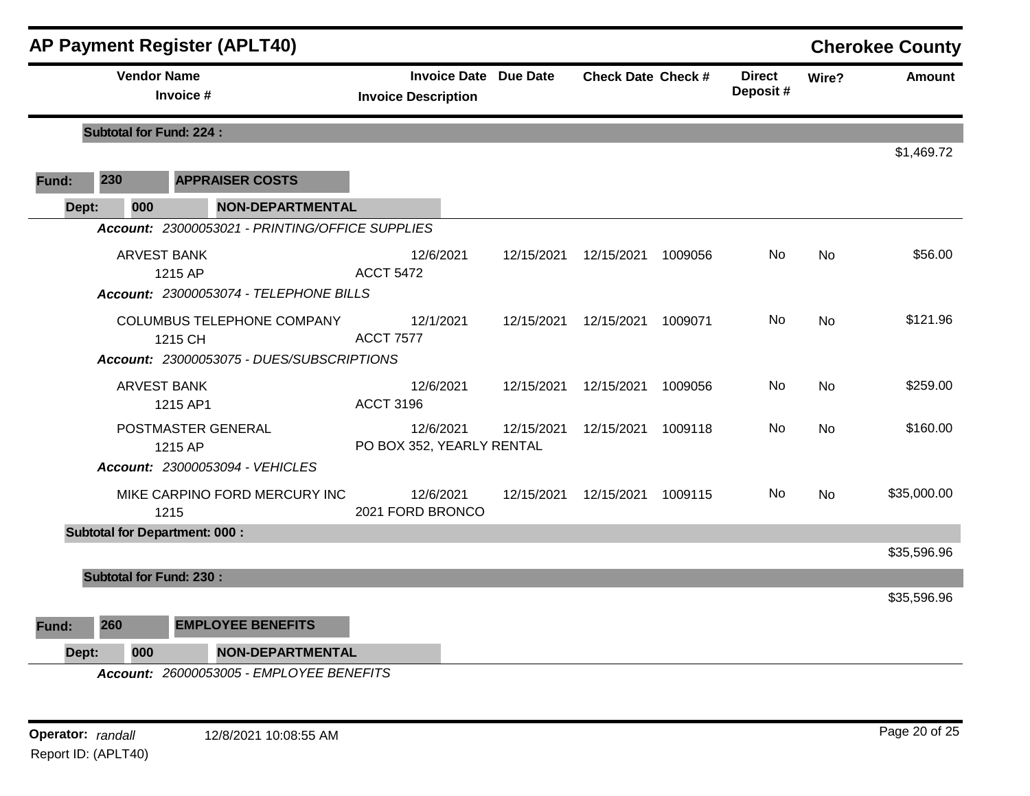|       |                                | <b>AP Payment Register (APLT40)</b>                                                |                                                            |            |                           |         |                           |           | <b>Cherokee County</b> |
|-------|--------------------------------|------------------------------------------------------------------------------------|------------------------------------------------------------|------------|---------------------------|---------|---------------------------|-----------|------------------------|
|       | <b>Vendor Name</b>             | Invoice #                                                                          | <b>Invoice Date Due Date</b><br><b>Invoice Description</b> |            | <b>Check Date Check #</b> |         | <b>Direct</b><br>Deposit# | Wire?     | <b>Amount</b>          |
|       | <b>Subtotal for Fund: 224:</b> |                                                                                    |                                                            |            |                           |         |                           |           |                        |
| Fund: | 230                            | <b>APPRAISER COSTS</b>                                                             |                                                            |            |                           |         |                           |           | \$1,469.72             |
| Dept: | 000                            | NON-DEPARTMENTAL                                                                   |                                                            |            |                           |         |                           |           |                        |
|       |                                | Account: 23000053021 - PRINTING/OFFICE SUPPLIES                                    |                                                            |            |                           |         |                           |           |                        |
|       | <b>ARVEST BANK</b>             | 1215 AP<br>Account: 23000053074 - TELEPHONE BILLS                                  | 12/6/2021<br><b>ACCT 5472</b>                              | 12/15/2021 | 12/15/2021                | 1009056 | No                        | No        | \$56.00                |
|       |                                | COLUMBUS TELEPHONE COMPANY<br>1215 CH<br>Account: 23000053075 - DUES/SUBSCRIPTIONS | 12/1/2021<br><b>ACCT 7577</b>                              | 12/15/2021 | 12/15/2021                | 1009071 | No.                       | <b>No</b> | \$121.96               |
|       |                                | <b>ARVEST BANK</b><br>1215 AP1                                                     | 12/6/2021<br><b>ACCT 3196</b>                              | 12/15/2021 | 12/15/2021                | 1009056 | No.                       | <b>No</b> | \$259.00               |
|       |                                | POSTMASTER GENERAL<br>1215 AP<br>Account: 23000053094 - VEHICLES                   | 12/6/2021<br>PO BOX 352, YEARLY RENTAL                     | 12/15/2021 | 12/15/2021                | 1009118 | No.                       | No        | \$160.00               |
|       |                                | MIKE CARPINO FORD MERCURY INC<br>1215                                              | 12/6/2021<br>2021 FORD BRONCO                              | 12/15/2021 | 12/15/2021                | 1009115 | No.                       | No        | \$35,000.00            |
|       |                                | <b>Subtotal for Department: 000:</b>                                               |                                                            |            |                           |         |                           |           |                        |
|       | <b>Subtotal for Fund: 230:</b> |                                                                                    |                                                            |            |                           |         |                           |           | \$35,596.96            |
|       |                                |                                                                                    |                                                            |            |                           |         |                           |           | \$35,596.96            |
| Fund: | 260                            | <b>EMPLOYEE BENEFITS</b>                                                           |                                                            |            |                           |         |                           |           |                        |
|       | 000<br>Dept:                   | <b>NON-DEPARTMENTAL</b>                                                            |                                                            |            |                           |         |                           |           |                        |
|       |                                | Account: 26000053005 - EMPLOYEE BENEFITS                                           |                                                            |            |                           |         |                           |           |                        |

**Operator:** randall 12/8/2021 10:08:55 AM *Page 20 of 25 Page 20 of 25* Report ID: (APLT40)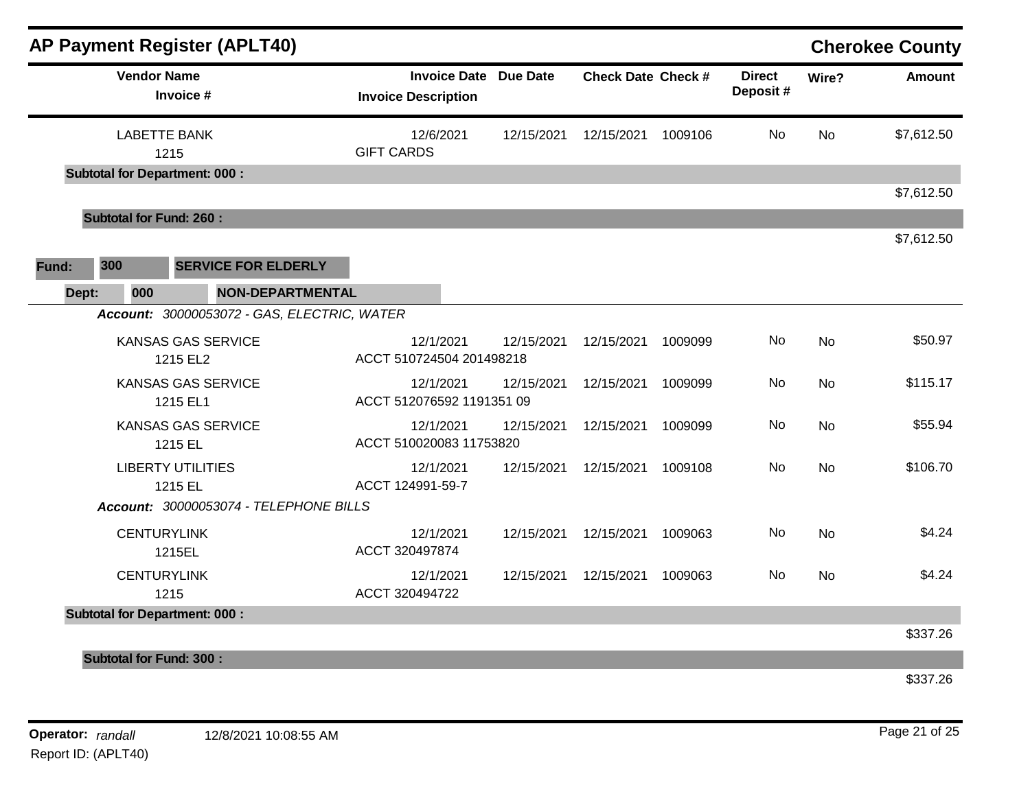| <b>AP Payment Register (APLT40)</b>         |                                                            |            |                           |         |                           |           | <b>Cherokee County</b> |
|---------------------------------------------|------------------------------------------------------------|------------|---------------------------|---------|---------------------------|-----------|------------------------|
| <b>Vendor Name</b><br>Invoice #             | <b>Invoice Date Due Date</b><br><b>Invoice Description</b> |            | <b>Check Date Check #</b> |         | <b>Direct</b><br>Deposit# | Wire?     | Amount                 |
| <b>LABETTE BANK</b><br>1215                 | 12/6/2021<br><b>GIFT CARDS</b>                             | 12/15/2021 | 12/15/2021                | 1009106 | No                        | <b>No</b> | \$7,612.50             |
| <b>Subtotal for Department: 000:</b>        |                                                            |            |                           |         |                           |           | \$7,612.50             |
| <b>Subtotal for Fund: 260:</b>              |                                                            |            |                           |         |                           |           |                        |
| 300<br><b>SERVICE FOR ELDERLY</b><br>Fund:  |                                                            |            |                           |         |                           |           | \$7,612.50             |
| Dept:<br>000<br><b>NON-DEPARTMENTAL</b>     |                                                            |            |                           |         |                           |           |                        |
| Account: 30000053072 - GAS, ELECTRIC, WATER |                                                            |            |                           |         |                           |           |                        |
| <b>KANSAS GAS SERVICE</b><br>1215 EL2       | 12/1/2021<br>ACCT 510724504 201498218                      | 12/15/2021 | 12/15/2021                | 1009099 | No                        | <b>No</b> | \$50.97                |
| <b>KANSAS GAS SERVICE</b><br>1215 EL1       | 12/1/2021<br>ACCT 512076592 1191351 09                     | 12/15/2021 | 12/15/2021                | 1009099 | No.                       | <b>No</b> | \$115.17               |
| <b>KANSAS GAS SERVICE</b><br>1215 EL        | 12/1/2021<br>ACCT 510020083 11753820                       | 12/15/2021 | 12/15/2021                | 1009099 | No                        | <b>No</b> | \$55.94                |
| <b>LIBERTY UTILITIES</b><br>1215 EL         | 12/1/2021<br>ACCT 124991-59-7                              | 12/15/2021 | 12/15/2021                | 1009108 | No                        | <b>No</b> | \$106.70               |
| Account: 30000053074 - TELEPHONE BILLS      |                                                            |            |                           |         |                           |           |                        |
| <b>CENTURYLINK</b><br>1215EL                | 12/1/2021<br>ACCT 320497874                                | 12/15/2021 | 12/15/2021                | 1009063 | No                        | <b>No</b> | \$4.24                 |
| <b>CENTURYLINK</b><br>1215                  | 12/1/2021<br>ACCT 320494722                                | 12/15/2021 | 12/15/2021                | 1009063 | No                        | <b>No</b> | \$4.24                 |
| <b>Subtotal for Department: 000:</b>        |                                                            |            |                           |         |                           |           |                        |
| <b>Subtotal for Fund: 300:</b>              |                                                            |            |                           |         |                           |           | \$337.26               |
|                                             |                                                            |            |                           |         |                           |           | \$337.26               |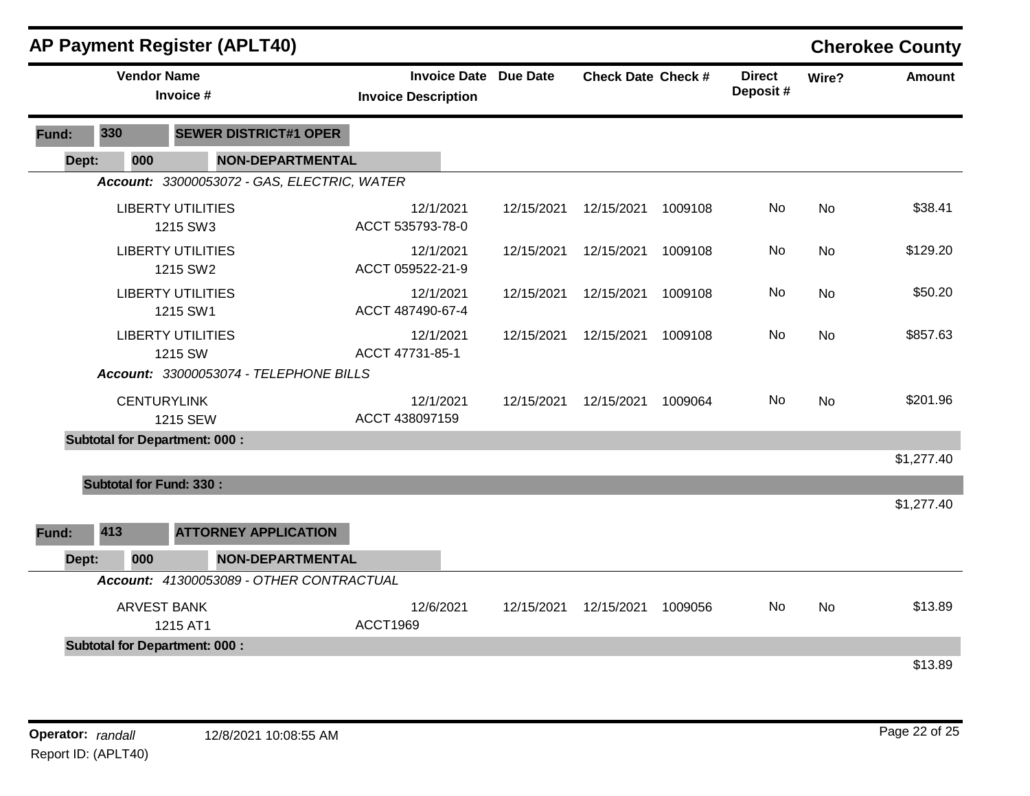|       | AP Payment Register (APLT40) |                    |                                             |                         |                               |                              |                           |         |                            |           | <b>Cherokee County</b> |
|-------|------------------------------|--------------------|---------------------------------------------|-------------------------|-------------------------------|------------------------------|---------------------------|---------|----------------------------|-----------|------------------------|
|       |                              | <b>Vendor Name</b> | Invoice #                                   |                         | <b>Invoice Description</b>    | <b>Invoice Date Due Date</b> | <b>Check Date Check #</b> |         | <b>Direct</b><br>Deposit # | Wire?     | Amount                 |
| Fund: | 330                          |                    | <b>SEWER DISTRICT#1 OPER</b>                |                         |                               |                              |                           |         |                            |           |                        |
| Dept: |                              | 000                |                                             | <b>NON-DEPARTMENTAL</b> |                               |                              |                           |         |                            |           |                        |
|       |                              |                    | Account: 33000053072 - GAS, ELECTRIC, WATER |                         |                               |                              |                           |         |                            |           |                        |
|       |                              |                    | <b>LIBERTY UTILITIES</b><br>1215 SW3        |                         | 12/1/2021<br>ACCT 535793-78-0 | 12/15/2021                   | 12/15/2021                | 1009108 | No.                        | <b>No</b> | \$38.41                |
|       |                              |                    | <b>LIBERTY UTILITIES</b><br>1215 SW2        |                         | 12/1/2021<br>ACCT 059522-21-9 | 12/15/2021                   | 12/15/2021                | 1009108 | <b>No</b>                  | No        | \$129.20               |
|       |                              |                    | <b>LIBERTY UTILITIES</b><br>1215 SW1        |                         | 12/1/2021<br>ACCT 487490-67-4 | 12/15/2021                   | 12/15/2021                | 1009108 | No                         | <b>No</b> | \$50.20                |
|       |                              |                    | <b>LIBERTY UTILITIES</b><br>1215 SW         |                         | 12/1/2021<br>ACCT 47731-85-1  | 12/15/2021                   | 12/15/2021                | 1009108 | No                         | <b>No</b> | \$857.63               |
|       |                              |                    | Account: 33000053074 - TELEPHONE BILLS      |                         |                               |                              |                           |         |                            |           |                        |
|       |                              |                    | <b>CENTURYLINK</b><br>1215 SEW              |                         | 12/1/2021<br>ACCT 438097159   | 12/15/2021                   | 12/15/2021                | 1009064 | No                         | <b>No</b> | \$201.96               |
|       |                              |                    | <b>Subtotal for Department: 000:</b>        |                         |                               |                              |                           |         |                            |           |                        |
|       |                              |                    |                                             |                         |                               |                              |                           |         |                            |           | \$1,277.40             |
|       |                              |                    | <b>Subtotal for Fund: 330:</b>              |                         |                               |                              |                           |         |                            |           |                        |
|       |                              |                    |                                             |                         |                               |                              |                           |         |                            |           | \$1,277.40             |
| Fund: | 413                          |                    | <b>ATTORNEY APPLICATION</b>                 |                         |                               |                              |                           |         |                            |           |                        |
| Dept: |                              | 000                |                                             | <b>NON-DEPARTMENTAL</b> |                               |                              |                           |         |                            |           |                        |
|       |                              |                    | Account: 41300053089 - OTHER CONTRACTUAL    |                         |                               |                              |                           |         |                            |           |                        |
|       |                              |                    | <b>ARVEST BANK</b><br>1215 AT1              |                         | 12/6/2021<br><b>ACCT1969</b>  | 12/15/2021                   | 12/15/2021                | 1009056 | No.                        | No        | \$13.89                |
|       |                              |                    | <b>Subtotal for Department: 000:</b>        |                         |                               |                              |                           |         |                            |           |                        |
|       |                              |                    |                                             |                         |                               |                              |                           |         |                            |           | \$13.89                |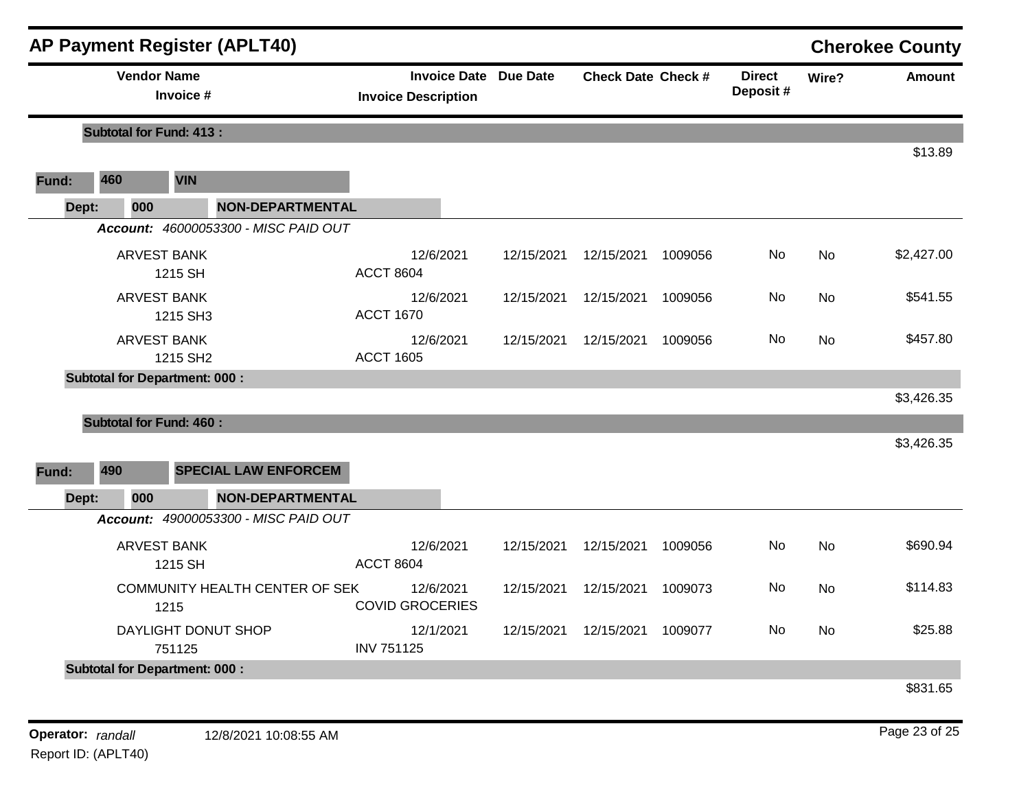|       |                                            | <b>AP Payment Register (APLT40)</b>  |                                                            |            |                           |         |                            |                | <b>Cherokee County</b> |
|-------|--------------------------------------------|--------------------------------------|------------------------------------------------------------|------------|---------------------------|---------|----------------------------|----------------|------------------------|
|       | <b>Vendor Name</b>                         | Invoice #                            | <b>Invoice Date Due Date</b><br><b>Invoice Description</b> |            | <b>Check Date Check #</b> |         | <b>Direct</b><br>Deposit # | Wire?          | <b>Amount</b>          |
|       | <b>Subtotal for Fund: 413:</b>             |                                      |                                                            |            |                           |         |                            |                |                        |
| Fund: | 460                                        | <b>VIN</b>                           |                                                            |            |                           |         |                            |                | \$13.89                |
| Dept: | 000                                        | <b>NON-DEPARTMENTAL</b>              |                                                            |            |                           |         |                            |                |                        |
|       |                                            | Account: 46000053300 - MISC PAID OUT |                                                            |            |                           |         |                            |                |                        |
|       |                                            | <b>ARVEST BANK</b><br>1215 SH        | 12/6/2021<br><b>ACCT 8604</b>                              | 12/15/2021 | 12/15/2021                | 1009056 | No                         | No             | \$2,427.00             |
|       |                                            | <b>ARVEST BANK</b><br>1215 SH3       | 12/6/2021<br><b>ACCT 1670</b>                              | 12/15/2021 | 12/15/2021                | 1009056 | No.                        | <b>No</b>      | \$541.55               |
|       | <b>ARVEST BANK</b><br>1215 SH <sub>2</sub> |                                      | 12/6/2021<br><b>ACCT 1605</b>                              | 12/15/2021 | 12/15/2021                | 1009056 | No                         | No.            | \$457.80               |
|       |                                            | <b>Subtotal for Department: 000:</b> |                                                            |            |                           |         |                            |                |                        |
|       |                                            |                                      |                                                            |            |                           |         |                            |                | \$3,426.35             |
|       | <b>Subtotal for Fund: 460:</b>             |                                      |                                                            |            |                           |         |                            |                | \$3,426.35             |
|       |                                            |                                      |                                                            |            |                           |         |                            |                |                        |
| Fund: | 490                                        | <b>SPECIAL LAW ENFORCEM</b>          |                                                            |            |                           |         |                            |                |                        |
| Dept: | 000                                        | <b>NON-DEPARTMENTAL</b>              |                                                            |            |                           |         |                            |                |                        |
|       |                                            | Account: 49000053300 - MISC PAID OUT |                                                            |            |                           |         |                            |                |                        |
|       |                                            | <b>ARVEST BANK</b><br>1215 SH        | 12/6/2021<br><b>ACCT 8604</b>                              | 12/15/2021 | 12/15/2021                | 1009056 | No                         | N <sub>o</sub> | \$690.94               |
|       | COMMUNITY HEALTH CENTER OF SEK<br>1215     |                                      | 12/6/2021<br><b>COVID GROCERIES</b>                        | 12/15/2021 | 12/15/2021                | 1009073 | No.                        | <b>No</b>      | \$114.83               |
|       | DAYLIGHT DONUT SHOP<br>751125              |                                      | 12/1/2021<br><b>INV 751125</b>                             | 12/15/2021 | 12/15/2021                | 1009077 | No                         | No             | \$25.88                |
|       |                                            | <b>Subtotal for Department: 000:</b> |                                                            |            |                           |         |                            |                |                        |
|       |                                            |                                      |                                                            |            |                           |         |                            |                | \$831.65               |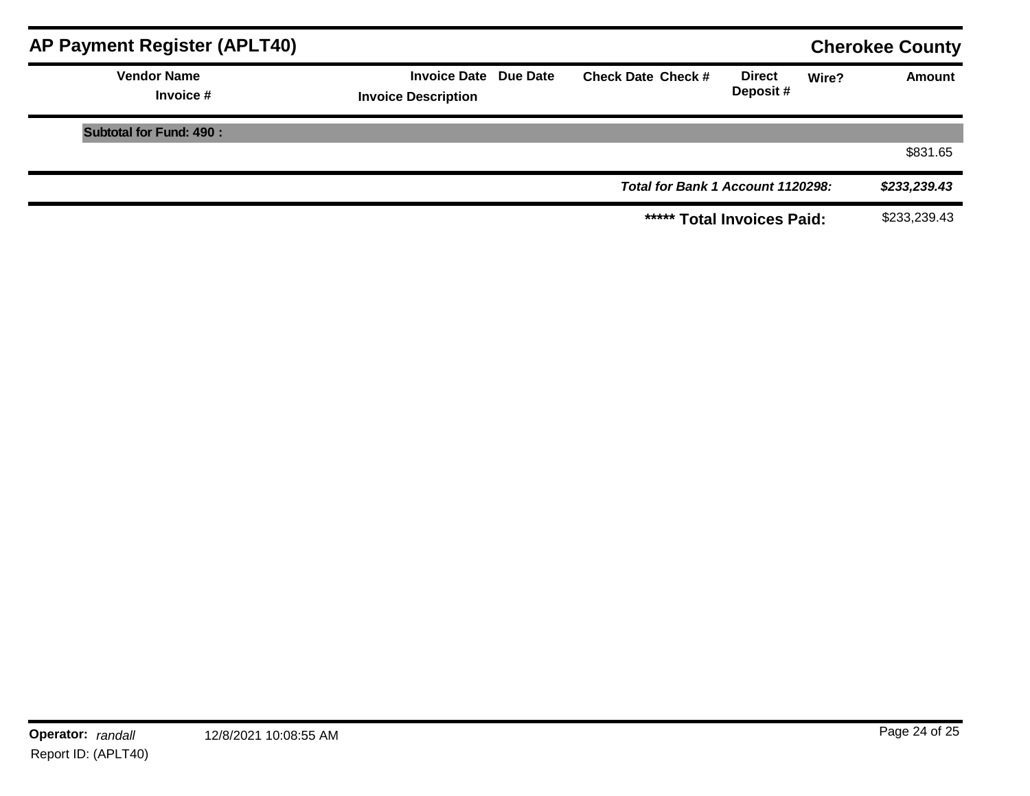| AP Payment Register (APLT40)    |                                                            |                                   |                           |       | <b>Cherokee County</b> |
|---------------------------------|------------------------------------------------------------|-----------------------------------|---------------------------|-------|------------------------|
| <b>Vendor Name</b><br>Invoice # | <b>Invoice Date Due Date</b><br><b>Invoice Description</b> | <b>Check Date Check #</b>         | <b>Direct</b><br>Deposit# | Wire? | <b>Amount</b>          |
| <b>Subtotal for Fund: 490:</b>  |                                                            |                                   |                           |       |                        |
|                                 |                                                            |                                   |                           |       | \$831.65               |
|                                 |                                                            | Total for Bank 1 Account 1120298: |                           |       | \$233,239.43           |
|                                 |                                                            | ***** Total Invoices Paid:        |                           |       | \$233,239.43           |